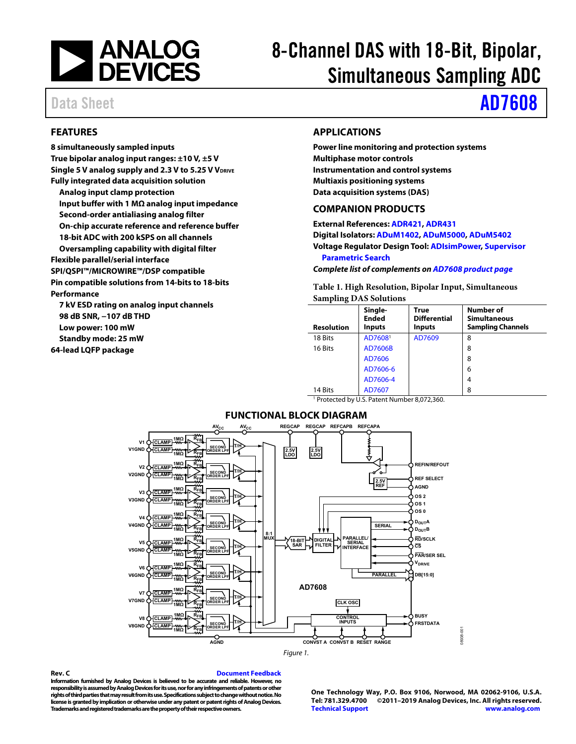

# 8-Channel DAS with 18-Bit, Bipolar, Simultaneous Sampling ADC

# Data Sheet **[AD7608](https://www.analog.com/AD7608?doc=AD7608.pdf)**

### <span id="page-0-0"></span>**FEATURES**

**8 simultaneously sampled inputs True bipolar analog input ranges: ±10 V, ±5 V**  Single 5 V analog supply and 2.3 V to 5.25 V V<sub>DRIVE</sub> **Fully integrated data acquisition solution Analog input clamp protection Input buffer with 1 MΩ analog input impedance Second-order antialiasing analog filter On-chip accurate reference and reference buffer 18-bit ADC with 200 kSPS on all channels Oversampling capability with digital filter Flexible parallel/serial interface SPI/QSPI™/MICROWIRE™/DSP compatible Pin compatible solutions from 14-bits to 18-bits Performance** 

**7 kV ESD rating on analog input channels 98 dB SNR, −107 dB THD Low power: 100 mW Standby mode: 25 mW 64-lead LQFP package** 

### <span id="page-0-1"></span>**APPLICATIONS**

**Power line monitoring and protection systems Multiphase motor controls Instrumentation and control systems Multiaxis positioning systems Data acquisition systems (DAS)** 

#### <span id="page-0-2"></span>**COMPANION PRODUCTS**

**External References[: ADR421,](https://www.analog.com/ADR421?doc=AD7608.pdf) [ADR431](https://www.analog.com/ADR431?doc=AD7608.pdf) Digital Isolators[: ADuM1402,](https://www.analog.com/ADuM1402?doc=AD7608.pdf) [ADuM5000,](https://www.analog.com/ADuM5000?doc=AD7608.pdf) [ADuM5402](https://www.analog.com/ADuM5402?doc=AD7608.pdf) Voltage Regulator Design Tool[: ADIsimPower,](https://www.analog.com/ADIsimPower?doc=AD7608.pdf) [Supervisor](https://www.analog.com/supervisory-circuits-pst?doc=AD7608.pdf)  [Parametric Search](https://www.analog.com/supervisory-circuits-pst?doc=AD7608.pdf)**

**Complete list of complements o[n AD7608 product page](https://www.analog.com/AD7608?doc=AD7608.pdf)**

**Table 1. High Resolution, Bipolar Input, Simultaneous Sampling DAS Solutions** 

| <b>Resolution</b>                                       | Single-<br><b>Ended</b><br><b>Inputs</b> | <b>True</b><br><b>Differential</b><br><b>Inputs</b> | <b>Number of</b><br><b>Simultaneous</b><br><b>Sampling Channels</b> |  |  |  |  |  |  |
|---------------------------------------------------------|------------------------------------------|-----------------------------------------------------|---------------------------------------------------------------------|--|--|--|--|--|--|
| 18 Bits                                                 | AD7608 <sup>1</sup>                      | AD7609                                              | 8                                                                   |  |  |  |  |  |  |
| 16 Bits                                                 | AD7606B                                  |                                                     | 8                                                                   |  |  |  |  |  |  |
|                                                         | AD7606                                   |                                                     | 8                                                                   |  |  |  |  |  |  |
|                                                         | AD7606-6                                 |                                                     | 6                                                                   |  |  |  |  |  |  |
|                                                         | AD7606-4                                 |                                                     | 4                                                                   |  |  |  |  |  |  |
| 14 Bits                                                 | AD7607                                   |                                                     | 8                                                                   |  |  |  |  |  |  |
| <sup>1</sup> Protected by U.S. Patent Number 8,072,360. |                                          |                                                     |                                                                     |  |  |  |  |  |  |

#### **FUNCTIONAL BLOCK DIAGRAM**

<span id="page-0-3"></span>

**Rev. C Document Feedback Information furnished by Analog Devices is believed to be accurate and reliable. However, no responsibility is assumed by Analog Devices for its use, nor for any infringements of patents or other rights of third parties that may result from its use. Specifications subject to change without notice. No license is granted by implication or otherwise under any patent or patent rights of Analog Devices. Trademarks and registered trademarks are the property of their respective owners.** 

**One Technology Way, P.O. Box 9106, Norwood, MA 02062-9106, U.S.A. Tel: 781.329.4700 ©2011–2019 Analog Devices, Inc. All rights reserved. [Technical Support](http://www.analog.com/en/content/technical_support_page/fca.html) [www.analog.com](http://www.analog.com/)** 

08938-001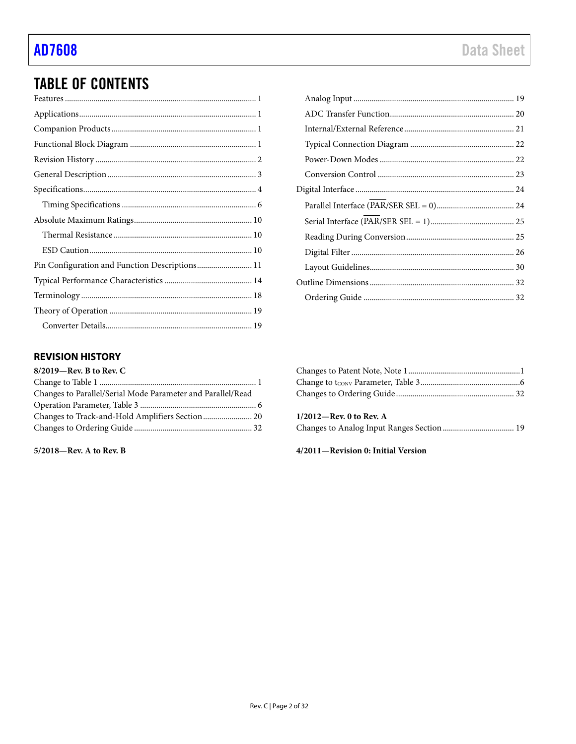## **TABLE OF CONTENTS**

| Pin Configuration and Function Descriptions 11 |  |
|------------------------------------------------|--|
|                                                |  |
|                                                |  |
|                                                |  |
|                                                |  |

## 

## <span id="page-1-0"></span>**REVISION HISTORY**

| 8/2019-Rev. B to Rev. C                                     |  |
|-------------------------------------------------------------|--|
|                                                             |  |
| Changes to Parallel/Serial Mode Parameter and Parallel/Read |  |
|                                                             |  |
|                                                             |  |
|                                                             |  |

5/2018-Rev. A to Rev. B

| $1/2012$ —Rev. 0 to Rev. A |  |
|----------------------------|--|
|                            |  |

#### 4/2011-Revision 0: Initial Version

 $\sim$   $\sim$   $\sim$ 

 $\sim$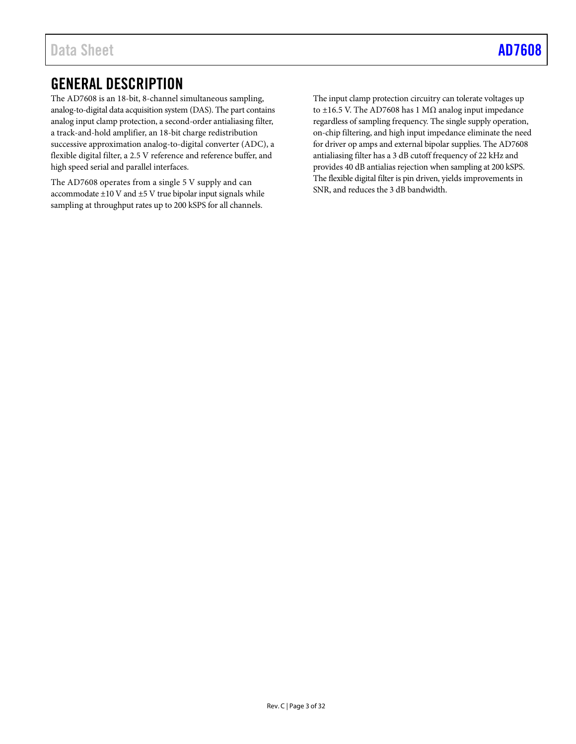# <span id="page-2-0"></span>GENERAL DESCRIPTION

The AD7608 is an 18-bit, 8-channel simultaneous sampling, analog-to-digital data acquisition system (DAS). The part contains analog input clamp protection, a second-order antialiasing filter, a track-and-hold amplifier, an 18-bit charge redistribution successive approximation analog-to-digital converter (ADC), a flexible digital filter, a 2.5 V reference and reference buffer, and high speed serial and parallel interfaces.

The AD7608 operates from a single 5 V supply and can accommodate  $\pm 10$  V and  $\pm 5$  V true bipolar input signals while sampling at throughput rates up to 200 kSPS for all channels.

The input clamp protection circuitry can tolerate voltages up to  $±16.5$  V. The AD7608 has 1 MΩ analog input impedance regardless of sampling frequency. The single supply operation, on-chip filtering, and high input impedance eliminate the need for driver op amps and external bipolar supplies. The AD7608 antialiasing filter has a 3 dB cutoff frequency of 22 kHz and provides 40 dB antialias rejection when sampling at 200 kSPS. The flexible digital filter is pin driven, yields improvements in SNR, and reduces the 3 dB bandwidth.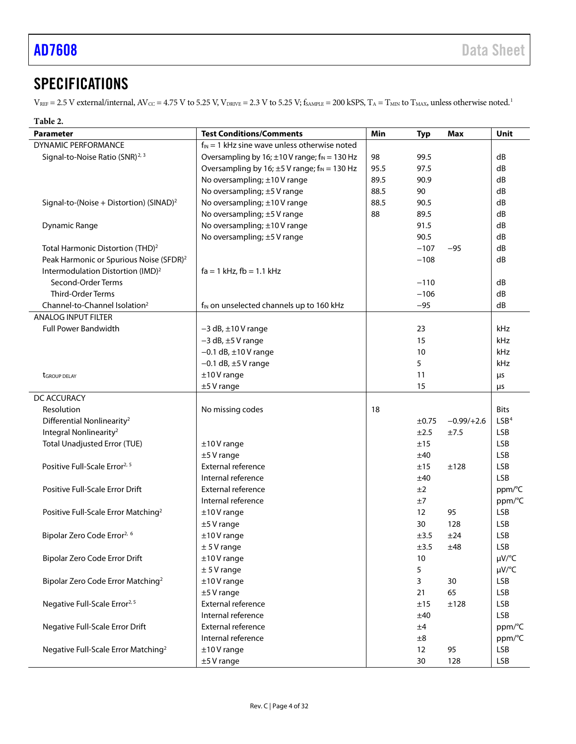# <span id="page-3-0"></span>**SPECIFICATIONS**

 $V_{REF}$  = 2.5 V external/internal,  $AV_{CC}$  = 4.75 V to 5.25 V,  $V_{DRIVE}$  = 2.3 V to 5.25 V;  $f_{SAMPLE}$  = 200 kSPS,  $T_A$  =  $T_{MIN}$  to  $T_{MAX}$ , unless otherwise noted.<sup>1</sup>

| Parameter                                           | <b>Test Conditions/Comments</b>                                | Min  | <b>Typ</b> | Max          | Unit             |
|-----------------------------------------------------|----------------------------------------------------------------|------|------------|--------------|------------------|
| DYNAMIC PERFORMANCE                                 | $f_{IN} = 1$ kHz sine wave unless otherwise noted              |      |            |              |                  |
| Signal-to-Noise Ratio (SNR) <sup>2, 3</sup>         | Oversampling by 16; $\pm$ 10 V range; f <sub>IN</sub> = 130 Hz | 98   | 99.5       |              | dB               |
|                                                     | Oversampling by 16; $\pm$ 5 V range; f <sub>IN</sub> = 130 Hz  | 95.5 | 97.5       |              | dB               |
|                                                     | No oversampling; ±10V range                                    | 89.5 | 90.9       |              | dB               |
|                                                     | No oversampling; ±5 V range                                    | 88.5 | 90         |              | dB               |
| Signal-to-(Noise + Distortion) (SINAD) <sup>2</sup> | No oversampling; ±10V range                                    | 88.5 | 90.5       |              | dB               |
|                                                     | No oversampling; ±5 V range                                    | 88   | 89.5       |              | dB               |
| <b>Dynamic Range</b>                                | No oversampling; ±10V range                                    |      | 91.5       |              | dB               |
|                                                     | No oversampling; ±5 V range                                    |      | 90.5       |              | dB               |
| Total Harmonic Distortion (THD) <sup>2</sup>        |                                                                |      | $-107$     | $-95$        | dB               |
| Peak Harmonic or Spurious Noise (SFDR) <sup>2</sup> |                                                                |      | $-108$     |              | dB               |
| Intermodulation Distortion (IMD) <sup>2</sup>       | $fa = 1$ kHz, $fb = 1.1$ kHz                                   |      |            |              |                  |
| Second-Order Terms                                  |                                                                |      | $-110$     |              | dB               |
| Third-Order Terms                                   |                                                                |      | $-106$     |              | dB               |
| Channel-to-Channel Isolation <sup>2</sup>           | f <sub>IN</sub> on unselected channels up to 160 kHz           |      | $-95$      |              | dB               |
| <b>ANALOG INPUT FILTER</b>                          |                                                                |      |            |              |                  |
| <b>Full Power Bandwidth</b>                         | $-3$ dB, $\pm$ 10 V range                                      |      | 23         |              | kHz              |
|                                                     | $-3$ dB, $\pm 5$ V range                                       |      | 15         |              | kHz              |
|                                                     | $-0.1$ dB, $\pm 10$ V range                                    |      | 10         |              | kHz              |
|                                                     | $-0.1$ dB, $\pm$ 5 V range                                     |      | 5          |              | kHz              |
| <b>t</b> GROUP DELAY                                | $±10V$ range                                                   |      | 11         |              | μs               |
|                                                     | $±5V$ range                                                    |      | 15         |              | μs               |
| DC ACCURACY                                         |                                                                |      |            |              |                  |
| Resolution                                          | No missing codes                                               | 18   |            |              | <b>Bits</b>      |
| Differential Nonlinearity <sup>2</sup>              |                                                                |      | ±0.75      | $-0.99/+2.6$ | LSB <sup>4</sup> |
| Integral Nonlinearity <sup>2</sup>                  |                                                                |      | ±2.5       | ±7.5         | <b>LSB</b>       |
| <b>Total Unadjusted Error (TUE)</b>                 | $±10V$ range                                                   |      | ±15        |              | <b>LSB</b>       |
|                                                     | $±5V$ range                                                    |      | ±40        |              | <b>LSB</b>       |
| Positive Full-Scale Error <sup>2, 5</sup>           | External reference                                             |      | ±15        | ±128         | <b>LSB</b>       |
|                                                     | Internal reference                                             |      | ±40        |              | <b>LSB</b>       |
| Positive Full-Scale Error Drift                     | External reference                                             |      | ±2         |              | ppm/°C           |
|                                                     | Internal reference                                             |      | ±7         |              | ppm/°C           |
| Positive Full-Scale Error Matching <sup>2</sup>     | $±10V$ range                                                   |      | 12         | 95           | <b>LSB</b>       |
|                                                     | $±5V$ range                                                    |      | 30         | 128          | <b>LSB</b>       |
| Bipolar Zero Code Error <sup>2, 6</sup>             | $±10V$ range                                                   |      | ±3.5       | ±24          | <b>LSB</b>       |
|                                                     | $± 5V$ range                                                   |      | $\pm 3.5$  | ±48          | <b>LSB</b>       |
| Bipolar Zero Code Error Drift                       | $±10V$ range                                                   |      | 10         |              | µV/°C            |
|                                                     | $± 5V$ range                                                   |      | 5          |              | µV/°C            |
| Bipolar Zero Code Error Matching <sup>2</sup>       | $±10V$ range                                                   |      | 3          | 30           | <b>LSB</b>       |
|                                                     | $±5V$ range                                                    |      | 21         | 65           | <b>LSB</b>       |
| Negative Full-Scale Error <sup>2, 5</sup>           | External reference                                             |      | ±15        | ±128         | <b>LSB</b>       |
|                                                     | Internal reference                                             |      | ±40        |              | <b>LSB</b>       |
| Negative Full-Scale Error Drift                     | External reference                                             |      | ±4         |              | ppm/°C           |
|                                                     | Internal reference                                             |      | ±8         |              | ppm/°C           |
| Negative Full-Scale Error Matching <sup>2</sup>     | $±10V$ range                                                   |      | 12         | 95           | <b>LSB</b>       |
|                                                     | $±5V$ range                                                    |      | 30         | 128          | <b>LSB</b>       |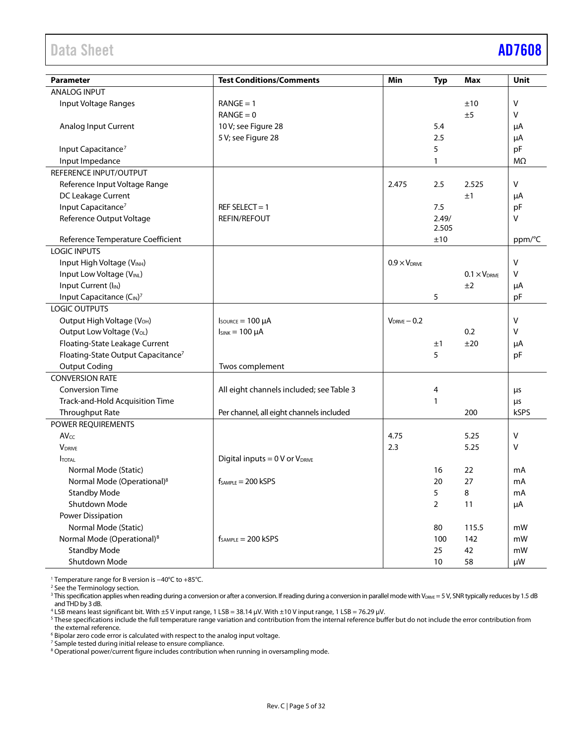<span id="page-4-0"></span>

| <b>Parameter</b>                               | <b>Test Conditions/Comments</b>          | Min                    | <b>Typ</b>     | <b>Max</b>             | Unit      |
|------------------------------------------------|------------------------------------------|------------------------|----------------|------------------------|-----------|
| <b>ANALOG INPUT</b>                            |                                          |                        |                |                        |           |
| Input Voltage Ranges                           | $RANGE = 1$                              |                        |                | ±10                    | V         |
|                                                | $RANGE = 0$                              |                        |                | ±5                     | v         |
| Analog Input Current                           | 10 V; see Figure 28                      |                        | 5.4            |                        | μA        |
|                                                | 5 V; see Figure 28                       |                        | 2.5            |                        | μA        |
| Input Capacitance <sup>7</sup>                 |                                          |                        | 5              |                        | pF        |
| Input Impedance                                |                                          |                        | 1              |                        | $M\Omega$ |
| REFERENCE INPUT/OUTPUT                         |                                          |                        |                |                        |           |
| Reference Input Voltage Range                  |                                          | 2.475                  | 2.5            | 2.525                  | V         |
| DC Leakage Current                             |                                          |                        |                | ±1                     | μA        |
| Input Capacitance <sup>7</sup>                 | REF SELECT = $1$                         |                        | 7.5            |                        | pF        |
| Reference Output Voltage                       | <b>REFIN/REFOUT</b>                      |                        | 2.49/          |                        | v         |
|                                                |                                          |                        | 2.505          |                        |           |
| Reference Temperature Coefficient              |                                          |                        | ±10            |                        | ppm/°C    |
| <b>LOGIC INPUTS</b>                            |                                          |                        |                |                        |           |
| Input High Voltage (V <sub>INH</sub> )         |                                          | $0.9 \times V_{DRIVE}$ |                |                        | V         |
| Input Low Voltage (VINL)                       |                                          |                        |                | $0.1 \times V_{DRIVE}$ | v         |
| Input Current (I <sub>IN</sub> )               |                                          |                        |                | ±2                     | μA        |
| Input Capacitance (CIN) <sup>7</sup>           |                                          |                        | 5              |                        | pF        |
| LOGIC OUTPUTS                                  |                                          |                        |                |                        |           |
| Output High Voltage (V <sub>OH</sub> )         | $I_{\text{SOWRCE}} = 100 \mu A$          | $V_{DRIVE} - 0.2$      |                |                        | V         |
| Output Low Voltage (V <sub>OL</sub> )          | $I_{SINK} = 100 \mu A$                   |                        |                | 0.2                    | v         |
| Floating-State Leakage Current                 |                                          |                        | ±1             | ±20                    | μA        |
| Floating-State Output Capacitance <sup>7</sup> |                                          |                        | 5              |                        | pF        |
| <b>Output Coding</b>                           | Twos complement                          |                        |                |                        |           |
| <b>CONVERSION RATE</b>                         |                                          |                        |                |                        |           |
| <b>Conversion Time</b>                         | All eight channels included; see Table 3 |                        | 4              |                        | μs        |
| Track-and-Hold Acquisition Time                |                                          |                        | 1              |                        | μs        |
| Throughput Rate                                | Per channel, all eight channels included |                        |                | 200                    | kSPS      |
| POWER REQUIREMENTS                             |                                          |                        |                |                        |           |
| $AV_{CC}$                                      |                                          | 4.75                   |                | 5.25                   | V         |
| <b>V</b> DRIVE                                 |                                          | 2.3                    |                | 5.25                   | V         |
| <b>I</b> TOTAL                                 | Digital inputs = $0$ V or $V_{DRIVE}$    |                        |                |                        |           |
| Normal Mode (Static)                           |                                          |                        | 16             | 22                     | mA        |
| Normal Mode (Operational) <sup>8</sup>         | $f_{SAMPLE} = 200$ kSPS                  |                        | 20             | 27                     | mA        |
| <b>Standby Mode</b>                            |                                          |                        | 5              | 8                      | mA        |
| Shutdown Mode                                  |                                          |                        | $\overline{2}$ | 11                     | μA        |
| <b>Power Dissipation</b>                       |                                          |                        |                |                        |           |
| Normal Mode (Static)                           |                                          |                        | 80             | 115.5                  | mW        |
| Normal Mode (Operational) <sup>8</sup>         | $f_{SAMPIF} = 200$ kSPS                  |                        | 100            | 142                    | mW        |
| <b>Standby Mode</b>                            |                                          |                        | 25             | 42                     | mW        |
| Shutdown Mode                                  |                                          |                        | 10             | 58                     | μW        |

<sup>1</sup> Temperature range for B version is −40°C to +85°C.

<sup>2</sup> See th[e Terminology](#page-17-0) section.

<sup>4</sup> LSB means least significant bit. With ±5 V input range, 1 LSB = 38.14 µV. With ±10 V input range, 1 LSB = 76.29 µV.

<sup>5</sup> These specifications include the full temperature range variation and contribution from the internal reference buffer but do not include the error contribution from the external reference.

 $6$  Bipolar zero code error is calculated with respect to the analog input voltage.

<sup>7</sup> Sample tested during initial release to ensure compliance.

<sup>8</sup> Operational power/current figure includes contribution when running in oversampling mode.

 $^3$  This specification applies when reading during a conversion or after a conversion. If reading during a conversion in parallel mode with V $_{\sf{DRWE}}$  = 5 V, SNR typically reduces by 1.5 dB and THD by 3 dB.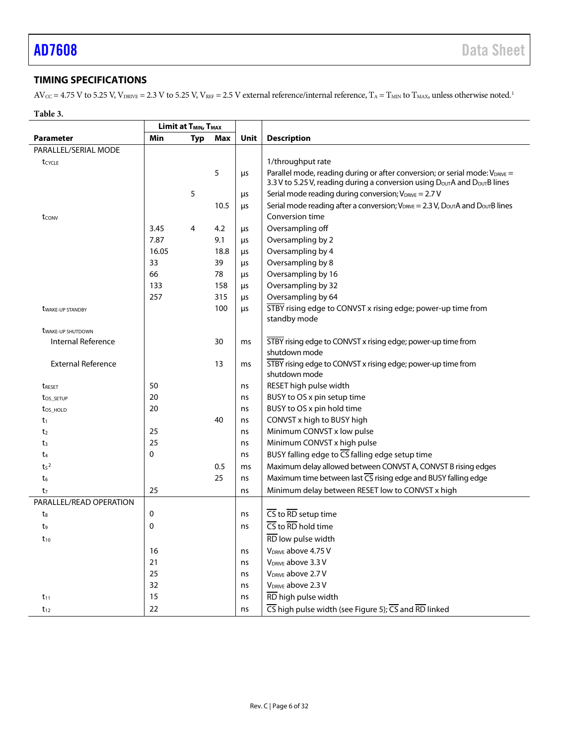## <span id="page-5-0"></span>**TIMING SPECIFICATIONS**

 $AV_{CC} = 4.75$  V to 5.25 V,  $V_{DRIVE} = 2.3$  V to 5.25 V,  $V_{REF} = 2.5$  V external reference/internal reference,  $T_A = T_{MIN}$  to  $T_{MAX}$ , unless otherwise noted.<sup>1</sup>

#### <span id="page-5-2"></span>**Table 3.**

<span id="page-5-1"></span>

|                                 | <b>Limit at <math>T_{MIN}</math>, <math>T_{MAX}</math></b> |                |      |      |                                                                                                                                                                                   |  |  |
|---------------------------------|------------------------------------------------------------|----------------|------|------|-----------------------------------------------------------------------------------------------------------------------------------------------------------------------------------|--|--|
| <b>Parameter</b>                | Min                                                        | <b>Typ</b>     | Max  | Unit | <b>Description</b>                                                                                                                                                                |  |  |
| PARALLEL/SERIAL MODE            |                                                            |                |      |      |                                                                                                                                                                                   |  |  |
| tcycle                          |                                                            |                |      |      | 1/throughput rate                                                                                                                                                                 |  |  |
|                                 |                                                            |                | 5    | μs   | Parallel mode, reading during or after conversion; or serial mode: VDRIVE =<br>3.3 V to 5.25 V, reading during a conversion using D <sub>OUT</sub> A and D <sub>OUT</sub> B lines |  |  |
|                                 |                                                            | 5              |      | μs   | Serial mode reading during conversion; $V_{DRIVE} = 2.7 V$                                                                                                                        |  |  |
|                                 |                                                            |                | 10.5 | μs   | Serial mode reading after a conversion; $V_{DRNE} = 2.3 V$ , $D_{OUT}A$ and $D_{OUT}B$ lines                                                                                      |  |  |
| tconv                           |                                                            |                |      |      | Conversion time                                                                                                                                                                   |  |  |
|                                 | 3.45                                                       | $\overline{4}$ | 4.2  | μs   | Oversampling off                                                                                                                                                                  |  |  |
|                                 | 7.87                                                       |                | 9.1  | μs   | Oversampling by 2                                                                                                                                                                 |  |  |
|                                 | 16.05                                                      |                | 18.8 | μs   | Oversampling by 4                                                                                                                                                                 |  |  |
|                                 | 33                                                         |                | 39   | μs   | Oversampling by 8                                                                                                                                                                 |  |  |
|                                 | 66                                                         |                | 78   | μs   | Oversampling by 16                                                                                                                                                                |  |  |
|                                 | 133                                                        |                | 158  | μs   | Oversampling by 32                                                                                                                                                                |  |  |
|                                 | 257                                                        |                | 315  | μs   | Oversampling by 64                                                                                                                                                                |  |  |
| <b><i>UWAKE-UP STANDBY</i></b>  |                                                            |                | 100  | μs   | STBY rising edge to CONVST x rising edge; power-up time from                                                                                                                      |  |  |
|                                 |                                                            |                |      |      | standby mode                                                                                                                                                                      |  |  |
| <b><i>UWAKE-UP SHUTDOWN</i></b> |                                                            |                |      |      |                                                                                                                                                                                   |  |  |
| <b>Internal Reference</b>       |                                                            |                | 30   | ms   | STBY rising edge to CONVST x rising edge; power-up time from                                                                                                                      |  |  |
|                                 |                                                            |                |      |      | shutdown mode                                                                                                                                                                     |  |  |
| <b>External Reference</b>       |                                                            |                | 13   | ms   | STBY rising edge to CONVST x rising edge; power-up time from                                                                                                                      |  |  |
|                                 |                                                            |                |      |      | shutdown mode                                                                                                                                                                     |  |  |
| <b>TRESET</b>                   | 50                                                         |                |      | ns   | RESET high pulse width                                                                                                                                                            |  |  |
| tos setup                       | 20                                                         |                |      | ns   | BUSY to OS x pin setup time                                                                                                                                                       |  |  |
| tos HOLD                        | 20                                                         |                |      | ns   | BUSY to OS x pin hold time                                                                                                                                                        |  |  |
| $t_1$                           |                                                            |                | 40   | ns   | CONVST x high to BUSY high                                                                                                                                                        |  |  |
| t <sub>2</sub>                  | 25                                                         |                |      | ns   | Minimum CONVST x low pulse                                                                                                                                                        |  |  |
| $t_3$                           | 25                                                         |                |      | ns   | Minimum CONVST x high pulse                                                                                                                                                       |  |  |
| t4                              | $\Omega$                                                   |                |      | ns   | BUSY falling edge to CS falling edge setup time                                                                                                                                   |  |  |
| t <sub>5</sub> <sup>2</sup>     |                                                            |                | 0.5  | ms   | Maximum delay allowed between CONVST A, CONVST B rising edges                                                                                                                     |  |  |
| t <sub>6</sub>                  |                                                            |                | 25   | ns   | Maximum time between last $\overline{\text{CS}}$ rising edge and BUSY falling edge                                                                                                |  |  |
| t <sub>7</sub>                  | 25                                                         |                |      | ns   | Minimum delay between RESET low to CONVST x high                                                                                                                                  |  |  |
| PARALLEL/READ OPERATION         |                                                            |                |      |      |                                                                                                                                                                                   |  |  |
| t <sub>8</sub>                  | 0                                                          |                |      | ns   | $\overline{CS}$ to $\overline{RD}$ setup time                                                                                                                                     |  |  |
| t <sub>9</sub>                  | 0                                                          |                |      | ns   | $\overline{\text{CS}}$ to $\overline{\text{RD}}$ hold time                                                                                                                        |  |  |
| $t_{10}$                        |                                                            |                |      |      | RD low pulse width                                                                                                                                                                |  |  |
|                                 | 16                                                         |                |      | ns   | V <sub>DRIVE</sub> above 4.75 V                                                                                                                                                   |  |  |
|                                 | 21                                                         |                |      | ns   | V <sub>DRIVE</sub> above 3.3 V                                                                                                                                                    |  |  |
|                                 | 25                                                         |                |      | ns   | V <sub>DRIVE</sub> above 2.7 V                                                                                                                                                    |  |  |
|                                 | 32                                                         |                |      | ns   | V <sub>DRIVE</sub> above 2.3 V                                                                                                                                                    |  |  |
| $t_{11}$                        | 15                                                         |                |      | ns   | RD high pulse width                                                                                                                                                               |  |  |
| $t_{12}$                        | 22                                                         |                |      | ns   | $\overline{\text{CS}}$ high pulse width (see Figure 5); $\overline{\text{CS}}$ and $\overline{\text{RD}}$ linked                                                                  |  |  |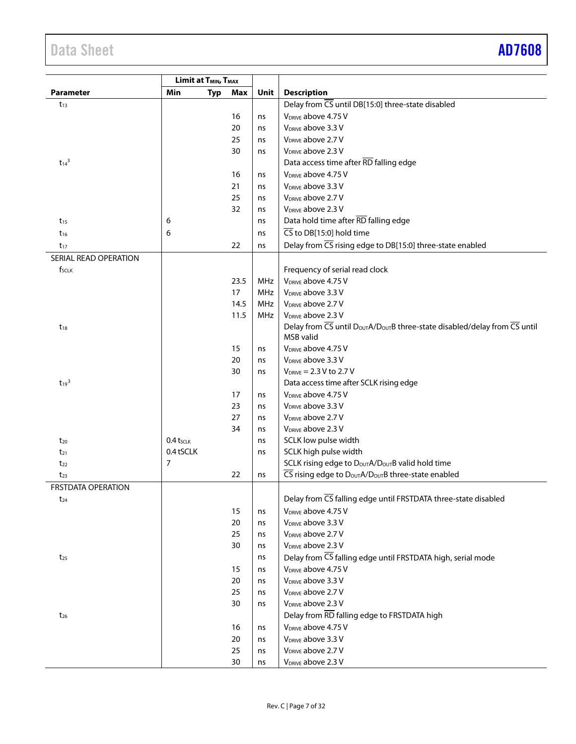| Limit at T <sub>MIN</sub> , T <sub>MAX</sub> |                   |      |          |                                                                                         |
|----------------------------------------------|-------------------|------|----------|-----------------------------------------------------------------------------------------|
| Parameter                                    | Min<br><b>Typ</b> | Max  | Unit     | <b>Description</b>                                                                      |
| $t_{13}$                                     |                   |      |          | Delay from CS until DB[15:0] three-state disabled                                       |
|                                              |                   | 16   | ns       | V <sub>DRIVE</sub> above 4.75 V                                                         |
|                                              |                   | 20   | ns       | V <sub>DRIVE</sub> above 3.3 V                                                          |
|                                              |                   | 25   | ns       | V <sub>DRIVE</sub> above 2.7 V                                                          |
|                                              |                   | 30   | ns       | V <sub>DRIVE</sub> above 2.3 V                                                          |
| $t_{14}^3$                                   |                   |      |          | Data access time after RD falling edge                                                  |
|                                              |                   | 16   | ns       | V <sub>DRIVE</sub> above 4.75 V                                                         |
|                                              |                   | 21   | ns       | V <sub>DRIVE</sub> above 3.3 V                                                          |
|                                              |                   | 25   | ns       | V <sub>DRIVE</sub> above 2.7 V                                                          |
|                                              |                   | 32   | ns       | V <sub>DRIVE</sub> above 2.3 V                                                          |
| $t_{15}$                                     | 6                 |      | ns       | Data hold time after RD falling edge                                                    |
| $t_{16}$                                     | 6                 |      | ns       | $\overline{\mathsf{CS}}$ to DB[15:0] hold time                                          |
|                                              |                   | 22   |          | Delay from CS rising edge to DB[15:0] three-state enabled                               |
| $t_{17}$                                     |                   |      | ns       |                                                                                         |
| SERIAL READ OPERATION                        |                   |      |          |                                                                                         |
| f <sub>SCLK</sub>                            |                   |      |          | Frequency of serial read clock                                                          |
|                                              |                   | 23.5 | MHz      | V <sub>DRIVE</sub> above 4.75 V                                                         |
|                                              |                   | 17   | MHz      | V <sub>DRIVE</sub> above 3.3 V                                                          |
|                                              |                   | 14.5 | MHz      | V <sub>DRIVE</sub> above 2.7 V                                                          |
|                                              |                   | 11.5 | MHz      | V <sub>DRIVE</sub> above 2.3 V                                                          |
| $t_{18}$                                     |                   |      |          | Delay from CS until Dout A/Dout B three-state disabled/delay from CS until<br>MSB valid |
|                                              |                   | 15   | ns       | V <sub>DRIVE</sub> above 4.75 V                                                         |
|                                              |                   | 20   | ns       | V <sub>DRIVE</sub> above 3.3 V                                                          |
|                                              |                   | 30   | ns       | $V_{DRIVE} = 2.3 V to 2.7 V$                                                            |
| $t_{19}$ <sup>3</sup>                        |                   |      |          | Data access time after SCLK rising edge                                                 |
|                                              |                   | 17   | ns       | V <sub>DRIVE</sub> above 4.75 V                                                         |
|                                              |                   | 23   | ns       | V <sub>DRIVE</sub> above 3.3 V                                                          |
|                                              |                   | 27   | ns       | V <sub>DRIVE</sub> above 2.7 V                                                          |
|                                              |                   | 34   | ns       | V <sub>DRIVE</sub> above 2.3 V                                                          |
| $t_{20}$                                     | $0.4$ tsclk       |      | ns       | SCLK low pulse width                                                                    |
| $t_{21}$                                     | 0.4 tSCLK         |      | ns       | SCLK high pulse width                                                                   |
| $t_{22}$                                     | 7                 |      |          | SCLK rising edge to D <sub>OUT</sub> A/D <sub>OUT</sub> B valid hold time               |
| $t_{23}$                                     |                   | 22   | ns       | CS rising edge to DoutA/DoutB three-state enabled                                       |
| <b>FRSTDATA OPERATION</b>                    |                   |      |          |                                                                                         |
| $t_{24}$                                     |                   |      |          | Delay from CS falling edge until FRSTDATA three-state disabled                          |
|                                              |                   | 15   | ns       | V <sub>DRIVE</sub> above 4.75 V                                                         |
|                                              |                   | 20   | ns       | V <sub>DRIVE</sub> above 3.3 V                                                          |
|                                              |                   | 25   | ns       | V <sub>DRIVE</sub> above 2.7 V                                                          |
|                                              |                   | 30   | ns       | V <sub>DRIVE</sub> above 2.3 V                                                          |
| $t_{25}$                                     |                   |      | ns       | Delay from CS falling edge until FRSTDATA high, serial mode                             |
|                                              |                   | 15   |          | V <sub>DRIVE</sub> above 4.75 V                                                         |
|                                              |                   | 20   | ns       | V <sub>DRIVE</sub> above 3.3 V                                                          |
|                                              |                   | 25   | ns<br>ns | V <sub>DRIVE</sub> above 2.7 V                                                          |
|                                              |                   |      |          | V <sub>DRIVE</sub> above 2.3 V                                                          |
|                                              |                   | 30   | ns       |                                                                                         |
| $t_{26}$                                     |                   |      |          | Delay from RD falling edge to FRSTDATA high                                             |
|                                              |                   | 16   | ns       | V <sub>DRIVE</sub> above 4.75 V                                                         |
|                                              |                   | 20   | ns       | V <sub>DRIVE</sub> above 3.3 V                                                          |
|                                              |                   | 25   | ns       | V <sub>DRIVE</sub> above 2.7 V                                                          |
|                                              |                   | 30   | ns       | V <sub>DRIVE</sub> above 2.3 V                                                          |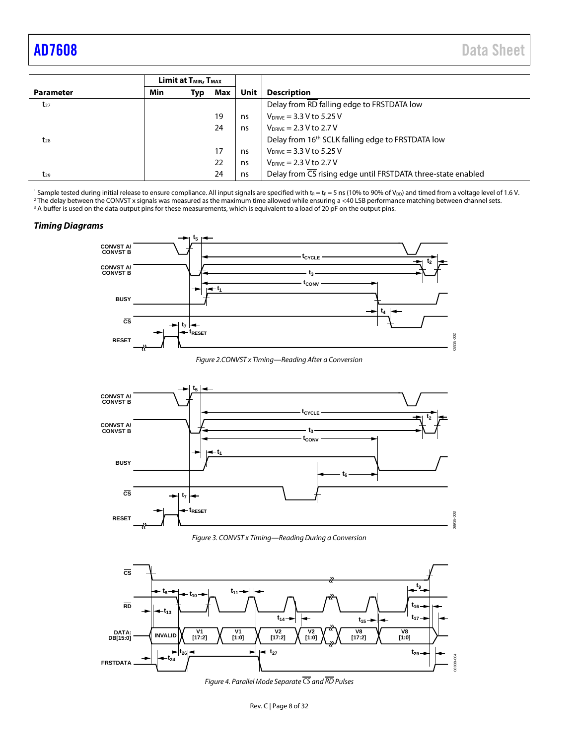<span id="page-7-0"></span>

|                  | Limit at T <sub>MIN</sub> , T <sub>MAX</sub> |     |     |      |                                                               |
|------------------|----------------------------------------------|-----|-----|------|---------------------------------------------------------------|
| <b>Parameter</b> | Min                                          | Typ | Max | Unit | <b>Description</b>                                            |
| $t_{27}$         |                                              |     |     |      | Delay from RD falling edge to FRSTDATA low                    |
|                  |                                              |     | 19  | ns   | $V_{DRIVE} = 3.3 V to 5.25 V$                                 |
|                  |                                              |     | 24  | ns   | $V_{DRIVE} = 2.3 V to 2.7 V$                                  |
| $t_{28}$         |                                              |     |     |      | Delay from 16 <sup>th</sup> SCLK falling edge to FRSTDATA low |
|                  |                                              |     | 17  | ns   | $V_{DRIVE} = 3.3 V to 5.25 V$                                 |
|                  |                                              |     | 22  | ns   | $V_{DRIVE} = 2.3 V to 2.7 V$                                  |
| $t_{29}$         |                                              |     | 24  | ns   | Delay from CS rising edge until FRSTDATA three-state enabled  |

<sup>1</sup> Sample tested during initial release to ensure compliance. All input signals are specified with  $t_R = t_F = 5$  ns (10% to 90% of V<sub>DD</sub>) and timed from a voltage level of 1.6 V.<br><sup>2</sup> The delay between the CONVST x signals w <sup>3</sup> A buffer is used on the data output pins for these measurements, which is equivalent to a load of 20 pF on the output pins.

#### *Timing Diagrams*



*Figure 2.CONVST x Timing—Reading After a Conversion*

<span id="page-7-2"></span>

*Figure 3. CONVST x Timing—Reading During a Conversion*

<span id="page-7-3"></span><span id="page-7-1"></span>

*Figure 4. Parallel Mode Separate CS and RD Pulses*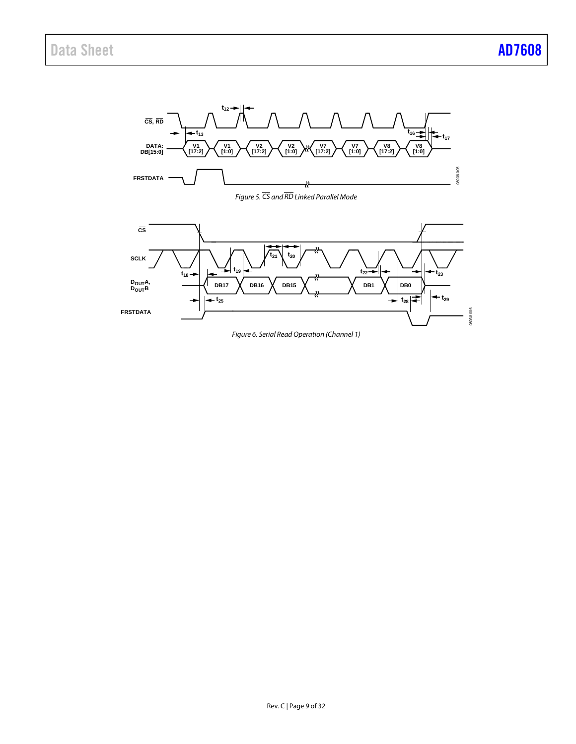<span id="page-8-0"></span>

<span id="page-8-1"></span>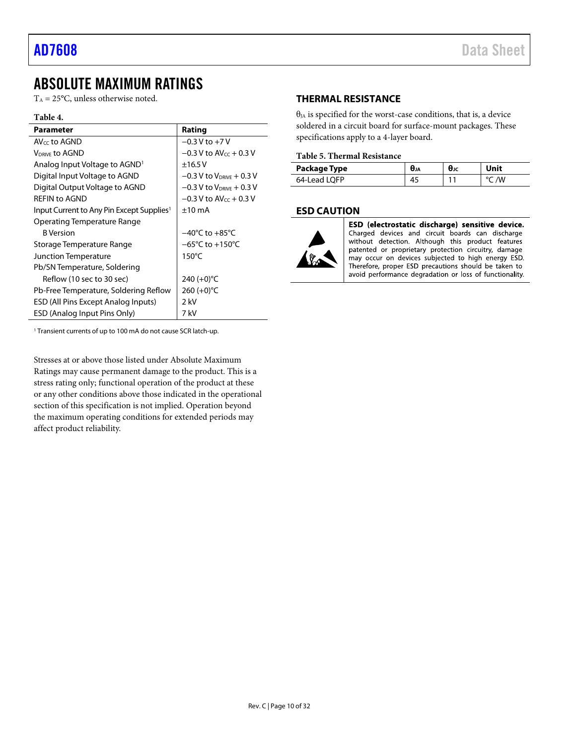## <span id="page-9-0"></span>ABSOLUTE MAXIMUM RATINGS

 $T_A = 25$ °C, unless otherwise noted.

#### **Table 4.**

| Parameter                                             | Rating                              |
|-------------------------------------------------------|-------------------------------------|
| AV $\epsilon$ c to AGND                               | $-0.3$ V to $+7$ V                  |
| <b>VDRIVE TO AGND</b>                                 | $-0.3$ V to AV $cc + 0.3$ V         |
| Analog Input Voltage to AGND <sup>1</sup>             | ±16.5V                              |
| Digital Input Voltage to AGND                         | $-0.3$ V to $V_{DRIVE}$ + 0.3 V     |
| Digital Output Voltage to AGND                        | $-0.3$ V to $V_{DRIVE} + 0.3$ V     |
| REFIN to AGND                                         | $-0.3$ V to AV $_{cc}$ + 0.3 V      |
| Input Current to Any Pin Except Supplies <sup>1</sup> | $±10$ mA                            |
| Operating Temperature Range                           |                                     |
| <b>B</b> Version                                      | $-40^{\circ}$ C to $+85^{\circ}$ C  |
| Storage Temperature Range                             | $-65^{\circ}$ C to $+150^{\circ}$ C |
| Junction Temperature                                  | $150^{\circ}$ C                     |
| Pb/SN Temperature, Soldering                          |                                     |
| Reflow (10 sec to 30 sec)                             | 240 $(+0)$ °C                       |
| Pb-Free Temperature, Soldering Reflow                 | 260 $(+0)$ °C                       |
| ESD (All Pins Except Analog Inputs)                   | 2 kV                                |
| ESD (Analog Input Pins Only)                          | 7 kV                                |

#### <span id="page-9-1"></span>**THERMAL RESISTANCE**

 $\theta_{JA}$  is specified for the worst-case conditions, that is, a device soldered in a circuit board for surface-mount packages. These specifications apply to a 4-layer board.

#### **Table 5. Thermal Resistance**

| Package Type | UJA | θĸ | Unit |
|--------------|-----|----|------|
| 64-Lead LOFP |     | 11 | /W   |

#### <span id="page-9-2"></span>**ESD CAUTION**



ESD (electrostatic discharge) sensitive device. Charged devices and circuit boards can discharge without detection. Although this product features patented or proprietary protection circuitry, damage may occur on devices subjected to high energy ESD. Therefore, proper ESD precautions should be taken to avoid performance degradation or loss of functionality.

<sup>1</sup> Transient currents of up to 100 mA do not cause SCR latch-up.

Stresses at or above those listed under Absolute Maximum Ratings may cause permanent damage to the product. This is a stress rating only; functional operation of the product at these or any other conditions above those indicated in the operational section of this specification is not implied. Operation beyond the maximum operating conditions for extended periods may affect product reliability.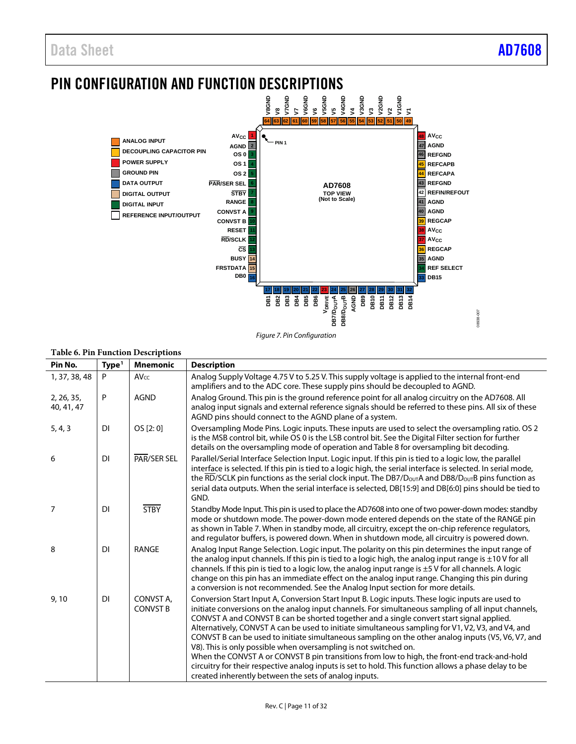## <span id="page-10-0"></span>PIN CONFIGURATION AND FUNCTION DESCRIPTIONS



*Figure 7. Pin Configuration*

#### **Table 6. Pin Function Descriptions**

| Pin No.                  | Type <sup>1</sup> | <b>Mnemonic</b>              | <b>Description</b>                                                                                                                                                                                                                                                                                                                                                                                                                                                                                                                                                                                                                                                                                                                                                                                                                                   |  |  |  |  |
|--------------------------|-------------------|------------------------------|------------------------------------------------------------------------------------------------------------------------------------------------------------------------------------------------------------------------------------------------------------------------------------------------------------------------------------------------------------------------------------------------------------------------------------------------------------------------------------------------------------------------------------------------------------------------------------------------------------------------------------------------------------------------------------------------------------------------------------------------------------------------------------------------------------------------------------------------------|--|--|--|--|
| 1, 37, 38, 48            | P                 | $AV_{CC}$                    | Analog Supply Voltage 4.75 V to 5.25 V. This supply voltage is applied to the internal front-end<br>amplifiers and to the ADC core. These supply pins should be decoupled to AGND.                                                                                                                                                                                                                                                                                                                                                                                                                                                                                                                                                                                                                                                                   |  |  |  |  |
| 2, 26, 35,<br>40, 41, 47 | P                 | <b>AGND</b>                  | Analog Ground. This pin is the ground reference point for all analog circuitry on the AD7608. All<br>analog input signals and external reference signals should be referred to these pins. All six of these<br>AGND pins should connect to the AGND plane of a system.                                                                                                                                                                                                                                                                                                                                                                                                                                                                                                                                                                               |  |  |  |  |
| 5, 4, 3                  | <b>DI</b>         | OS [2: 0]                    | Oversampling Mode Pins. Logic inputs. These inputs are used to select the oversampling ratio. OS 2<br>is the MSB control bit, while OS 0 is the LSB control bit. See the Digital Filter section for further<br>details on the oversampling mode of operation and Table 8 for oversampling bit decoding.                                                                                                                                                                                                                                                                                                                                                                                                                                                                                                                                              |  |  |  |  |
| 6                        | DI                | PAR/SER SEL                  | Parallel/Serial Interface Selection Input. Logic input. If this pin is tied to a logic low, the parallel<br>interface is selected. If this pin is tied to a logic high, the serial interface is selected. In serial mode,<br>the RD/SCLK pin functions as the serial clock input. The DB7/D $_{\text{OUT}}$ A and DB8/D $_{\text{OUT}}$ B pins function as<br>serial data outputs. When the serial interface is selected, DB[15:9] and DB[6:0] pins should be tied to<br>GND.                                                                                                                                                                                                                                                                                                                                                                        |  |  |  |  |
| 7                        | <b>DI</b>         | <b>STBY</b>                  | Standby Mode Input. This pin is used to place the AD7608 into one of two power-down modes: standby<br>mode or shutdown mode. The power-down mode entered depends on the state of the RANGE pin<br>as shown in Table 7. When in standby mode, all circuitry, except the on-chip reference regulators,<br>and regulator buffers, is powered down. When in shutdown mode, all circuitry is powered down.                                                                                                                                                                                                                                                                                                                                                                                                                                                |  |  |  |  |
| 8                        | <b>DI</b>         | RANGE                        | Analog Input Range Selection. Logic input. The polarity on this pin determines the input range of<br>the analog input channels. If this pin is tied to a logic high, the analog input range is $\pm 10$ V for all<br>channels. If this pin is tied to a logic low, the analog input range is $\pm$ 5 V for all channels. A logic<br>change on this pin has an immediate effect on the analog input range. Changing this pin during<br>a conversion is not recommended. See the Analog Input section for more details.                                                                                                                                                                                                                                                                                                                                |  |  |  |  |
| 9,10                     | DI                | CONVST A,<br><b>CONVST B</b> | Conversion Start Input A, Conversion Start Input B. Logic inputs. These logic inputs are used to<br>initiate conversions on the analog input channels. For simultaneous sampling of all input channels,<br>CONVST A and CONVST B can be shorted together and a single convert start signal applied.<br>Alternatively, CONVST A can be used to initiate simultaneous sampling for V1, V2, V3, and V4, and<br>CONVST B can be used to initiate simultaneous sampling on the other analog inputs (V5, V6, V7, and<br>V8). This is only possible when oversampling is not switched on.<br>When the CONVST A or CONVST B pin transitions from low to high, the front-end track-and-hold<br>circuitry for their respective analog inputs is set to hold. This function allows a phase delay to be<br>created inherently between the sets of analog inputs. |  |  |  |  |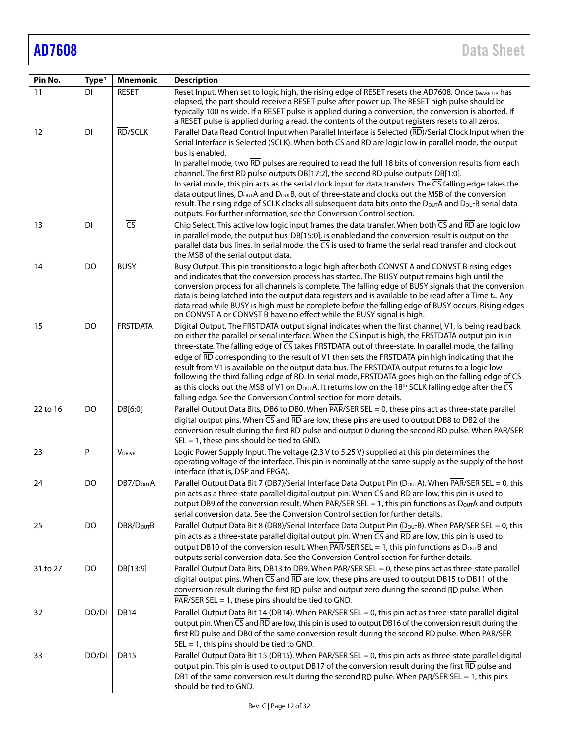| Pin No.  | Type <sup>1</sup> | <b>Mnemonic</b>          | <b>Description</b>                                                                                                                                                                                                                                                                                                                                                                                                                                                                                                                                                                                                                                                                                                                                                                                                                                                        |  |  |  |  |
|----------|-------------------|--------------------------|---------------------------------------------------------------------------------------------------------------------------------------------------------------------------------------------------------------------------------------------------------------------------------------------------------------------------------------------------------------------------------------------------------------------------------------------------------------------------------------------------------------------------------------------------------------------------------------------------------------------------------------------------------------------------------------------------------------------------------------------------------------------------------------------------------------------------------------------------------------------------|--|--|--|--|
| 11       | <b>DI</b>         | <b>RESET</b>             | Reset Input. When set to logic high, the rising edge of RESET resets the AD7608. Once twAKE-UP has                                                                                                                                                                                                                                                                                                                                                                                                                                                                                                                                                                                                                                                                                                                                                                        |  |  |  |  |
|          |                   |                          | elapsed, the part should receive a RESET pulse after power up. The RESET high pulse should be<br>typically 100 ns wide. If a RESET pulse is applied during a conversion, the conversion is aborted. If<br>a RESET pulse is applied during a read, the contents of the output registers resets to all zeros.                                                                                                                                                                                                                                                                                                                                                                                                                                                                                                                                                               |  |  |  |  |
| 12       | <b>DI</b>         | RD/SCLK                  | Parallel Data Read Control Input when Parallel Interface is Selected (RD)/Serial Clock Input when the<br>Serial Interface is Selected (SCLK). When both $\overline{CS}$ and $\overline{RD}$ are logic low in parallel mode, the output                                                                                                                                                                                                                                                                                                                                                                                                                                                                                                                                                                                                                                    |  |  |  |  |
|          |                   |                          | bus is enabled.<br>In parallel mode, two RD pulses are required to read the full 18 bits of conversion results from each<br>channel. The first $\overline{RD}$ pulse outputs DB[17:2], the second $\overline{RD}$ pulse outputs DB[1:0].                                                                                                                                                                                                                                                                                                                                                                                                                                                                                                                                                                                                                                  |  |  |  |  |
|          |                   |                          | In serial mode, this pin acts as the serial clock input for data transfers. The $\overline{\mathsf{CS}}$ falling edge takes the                                                                                                                                                                                                                                                                                                                                                                                                                                                                                                                                                                                                                                                                                                                                           |  |  |  |  |
|          |                   |                          | data output lines, DourA and DourB, out of three-state and clocks out the MSB of the conversion<br>result. The rising edge of SCLK clocks all subsequent data bits onto the Douth and Douth serial data<br>outputs. For further information, see the Conversion Control section.                                                                                                                                                                                                                                                                                                                                                                                                                                                                                                                                                                                          |  |  |  |  |
| 13       | <b>DI</b>         | $\overline{\mathsf{CS}}$ | Chip Select. This active low logic input frames the data transfer. When both CS and RD are logic low                                                                                                                                                                                                                                                                                                                                                                                                                                                                                                                                                                                                                                                                                                                                                                      |  |  |  |  |
|          |                   |                          | in parallel mode, the output bus, DB[15:0], is enabled and the conversion result is output on the<br>parallel data bus lines. In serial mode, the CS is used to frame the serial read transfer and clock out<br>the MSB of the serial output data.                                                                                                                                                                                                                                                                                                                                                                                                                                                                                                                                                                                                                        |  |  |  |  |
| 14       | DO                | <b>BUSY</b>              | Busy Output. This pin transitions to a logic high after both CONVST A and CONVST B rising edges<br>and indicates that the conversion process has started. The BUSY output remains high until the<br>conversion process for all channels is complete. The falling edge of BUSY signals that the conversion<br>data is being latched into the output data registers and is available to be read after a Time t4. Any<br>data read while BUSY is high must be complete before the falling edge of BUSY occurs. Rising edges<br>on CONVST A or CONVST B have no effect while the BUSY signal is high.                                                                                                                                                                                                                                                                         |  |  |  |  |
| 15       | DO                | <b>FRSTDATA</b>          | Digital Output. The FRSTDATA output signal indicates when the first channel, V1, is being read back<br>on either the parallel or serial interface. When the $\overline{CS}$ input is high, the FRSTDATA output pin is in<br>three-state. The falling edge of CS takes FRSTDATA out of three-state. In parallel mode, the falling<br>edge of RD corresponding to the result of V1 then sets the FRSTDATA pin high indicating that the<br>result from V1 is available on the output data bus. The FRSTDATA output returns to a logic low<br>following the third falling edge of RD. In serial mode, FRSTDATA goes high on the falling edge of CS<br>as this clocks out the MSB of V1 on $D_{\text{OUT}}A$ . It returns low on the 18 <sup>th</sup> SCLK falling edge after the $\overline{\text{CS}}$<br>falling edge. See the Conversion Control section for more details. |  |  |  |  |
| 22 to 16 | DO                | DB[6:0]                  | Parallel Output Data Bits, DB6 to DB0. When PAR/SER SEL = 0, these pins act as three-state parallel<br>digital output pins. When CS and RD are low, these pins are used to output DB8 to DB2 of the<br>conversion result during the first RD pulse and output 0 during the second RD pulse. When PAR/SER<br>$SEL = 1$ , these pins should be tied to GND.                                                                                                                                                                                                                                                                                                                                                                                                                                                                                                                 |  |  |  |  |
| 23       | P                 | <b>VDRIVE</b>            | Logic Power Supply Input. The voltage (2.3 V to 5.25 V) supplied at this pin determines the<br>operating voltage of the interface. This pin is nominally at the same supply as the supply of the host<br>interface (that is, DSP and FPGA).                                                                                                                                                                                                                                                                                                                                                                                                                                                                                                                                                                                                                               |  |  |  |  |
| 24       | DO                | DB7/D <sub>OUT</sub> A   | Parallel Output Data Bit 7 (DB7)/Serial Interface Data Output Pin (DourA). When PAR/SER SEL = 0, this<br>pin acts as a three-state parallel digital output pin. When $\overline{CS}$ and $\overline{RD}$ are low, this pin is used to<br>output DB9 of the conversion result. When $\overline{PAR}/\overline{SER}$ SEL = 1, this pin functions as $D_{OUT}A$ and outputs<br>serial conversion data. See the Conversion Control section for further details.                                                                                                                                                                                                                                                                                                                                                                                                               |  |  |  |  |
| 25       | DO                | DB8/D <sub>OUT</sub> B   | Parallel Output Data Bit 8 (DB8)/Serial Interface Data Output Pin (D <sub>OUT</sub> B). When $\overline{PAR}$ /SER SEL = 0, this<br>pin acts as a three-state parallel digital output pin. When $\overline{CS}$ and $\overline{RD}$ are low, this pin is used to<br>output DB10 of the conversion result. When $\overline{PAR}/\overline{SER}$ SEL = 1, this pin functions as $D_{OUT}B$ and<br>outputs serial conversion data. See the Conversion Control section for further details.                                                                                                                                                                                                                                                                                                                                                                                   |  |  |  |  |
| 31 to 27 | DO                | DB[13:9]                 | Parallel Output Data Bits, DB13 to DB9. When $\overline{PAR}/\overline{SER}$ SEL = 0, these pins act as three-state parallel<br>digital output pins. When $\overline{CS}$ and $\overline{RD}$ are low, these pins are used to output DB15 to DB11 of the<br>conversion result during the first RD pulse and output zero during the second RD pulse. When<br>$\overline{PAR}/\overline{SER}$ SEL = 1, these pins should be tied to GND.                                                                                                                                                                                                                                                                                                                                                                                                                                    |  |  |  |  |
| 32       | DO/DI             | <b>DB14</b>              | Parallel Output Data Bit 14 (DB14). When PAR/SER SEL = 0, this pin act as three-state parallel digital<br>output pin. When CS and RD are low, this pin is used to output DB16 of the conversion result during the<br>first RD pulse and DB0 of the same conversion result during the second RD pulse. When PAR/SER<br>$SEL = 1$ , this pins should be tied to GND.                                                                                                                                                                                                                                                                                                                                                                                                                                                                                                        |  |  |  |  |
| 33       | DO/DI             | DB15                     | Parallel Output Data Bit 15 (DB15). When PAR/SER SEL = 0, this pin acts as three-state parallel digital<br>output pin. This pin is used to output DB17 of the conversion result during the first RD pulse and<br>DB1 of the same conversion result during the second RD pulse. When $\overline{PAR/SER}$ SEL = 1, this pins<br>should be tied to GND.                                                                                                                                                                                                                                                                                                                                                                                                                                                                                                                     |  |  |  |  |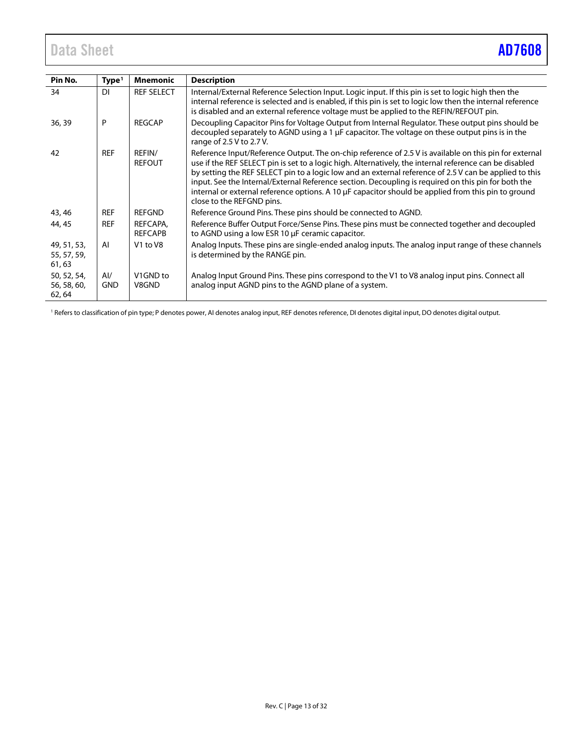<span id="page-12-0"></span>

| Pin No.                              | Type <sup>1</sup> | <b>Mnemonic</b>                  | <b>Description</b>                                                                                                                                                                                                                                                                                                                                                                                                                                                                                                                                                     |
|--------------------------------------|-------------------|----------------------------------|------------------------------------------------------------------------------------------------------------------------------------------------------------------------------------------------------------------------------------------------------------------------------------------------------------------------------------------------------------------------------------------------------------------------------------------------------------------------------------------------------------------------------------------------------------------------|
| 34                                   | DI                | <b>REF SELECT</b>                | Internal/External Reference Selection Input. Logic input. If this pin is set to logic high then the<br>internal reference is selected and is enabled, if this pin is set to logic low then the internal reference<br>is disabled and an external reference voltage must be applied to the REFIN/REFOUT pin.                                                                                                                                                                                                                                                            |
| 36, 39                               | P                 | <b>RFGCAP</b>                    | Decoupling Capacitor Pins for Voltage Output from Internal Regulator. These output pins should be<br>decoupled separately to AGND using a 1 µF capacitor. The voltage on these output pins is in the<br>range of 2.5 V to 2.7 V.                                                                                                                                                                                                                                                                                                                                       |
| 42                                   | <b>REF</b>        | REFIN/<br><b>REFOUT</b>          | Reference Input/Reference Output. The on-chip reference of 2.5 V is available on this pin for external<br>use if the REF SELECT pin is set to a logic high. Alternatively, the internal reference can be disabled<br>by setting the REF SELECT pin to a logic low and an external reference of 2.5 V can be applied to this<br>input. See the Internal/External Reference section. Decoupling is required on this pin for both the<br>internal or external reference options. A 10 µF capacitor should be applied from this pin to ground<br>close to the REFGND pins. |
| 43, 46                               | <b>REF</b>        | REFGND                           | Reference Ground Pins. These pins should be connected to AGND.                                                                                                                                                                                                                                                                                                                                                                                                                                                                                                         |
| 44, 45                               | <b>REF</b>        | REFCAPA,<br><b>REFCAPB</b>       | Reference Buffer Output Force/Sense Pins. These pins must be connected together and decoupled<br>to AGND using a low ESR 10 µF ceramic capacitor.                                                                                                                                                                                                                                                                                                                                                                                                                      |
| 49, 51, 53,<br>55, 57, 59,<br>61,63  | AI                | V <sub>1</sub> to V <sub>8</sub> | Analog Inputs. These pins are single-ended analog inputs. The analog input range of these channels<br>is determined by the RANGE pin.                                                                                                                                                                                                                                                                                                                                                                                                                                  |
| 50, 52, 54,<br>56, 58, 60,<br>62, 64 | Al/<br><b>GND</b> | V <sub>1</sub> GND to<br>V8GND   | Analog Input Ground Pins. These pins correspond to the V1 to V8 analog input pins. Connect all<br>analog input AGND pins to the AGND plane of a system.                                                                                                                                                                                                                                                                                                                                                                                                                |

<sup>1</sup> Refers to classification of pin type; P denotes power, AI denotes analog input, REF denotes reference, DI denotes digital input, DO denotes digital output.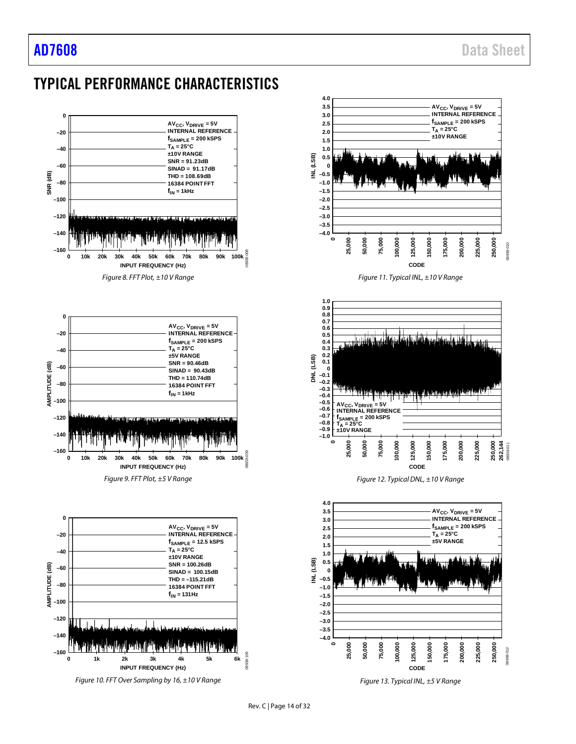# <span id="page-13-0"></span>TYPICAL PERFORMANCE CHARACTERISTICS



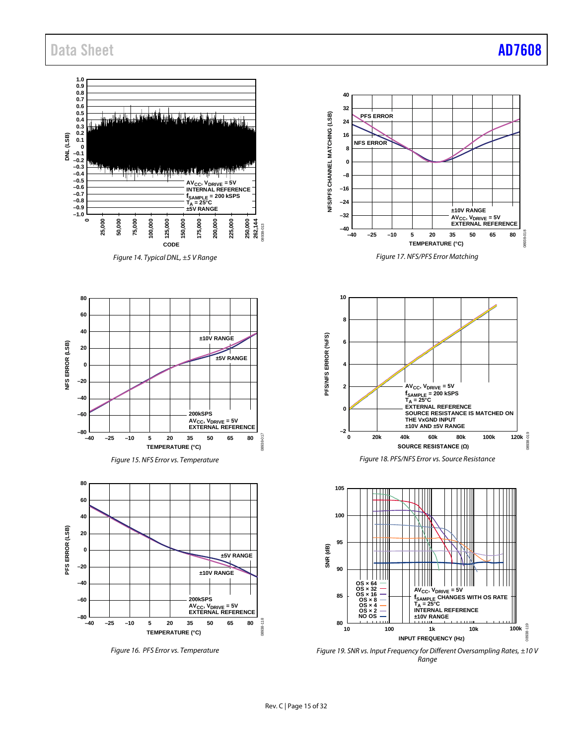

*Range*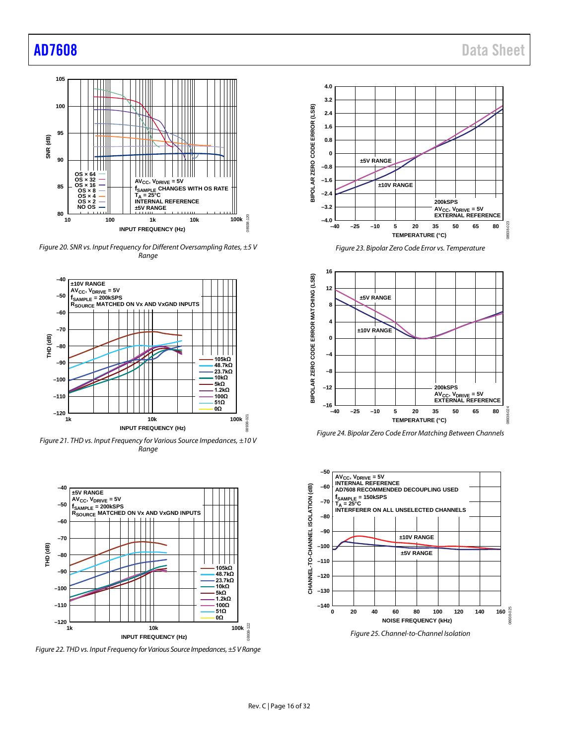

*Figure 20. SNR vs. Input Frequency for Different Oversampling Rates, ±5 V Range*



*Figure 21. THD vs. Input Frequency for Various Source Impedances, ±10 V Range*



*Figure 22. THD vs. Input Frequency for Various Source Impedances,±5 VRange*



*Figure 23. Bipolar Zero Code Error vs. Temperature*



*Figure 24. Bipolar Zero Code Error Matching Between Channels* 



<span id="page-15-0"></span>*Figure 25. Channel-to-Channel Isolation*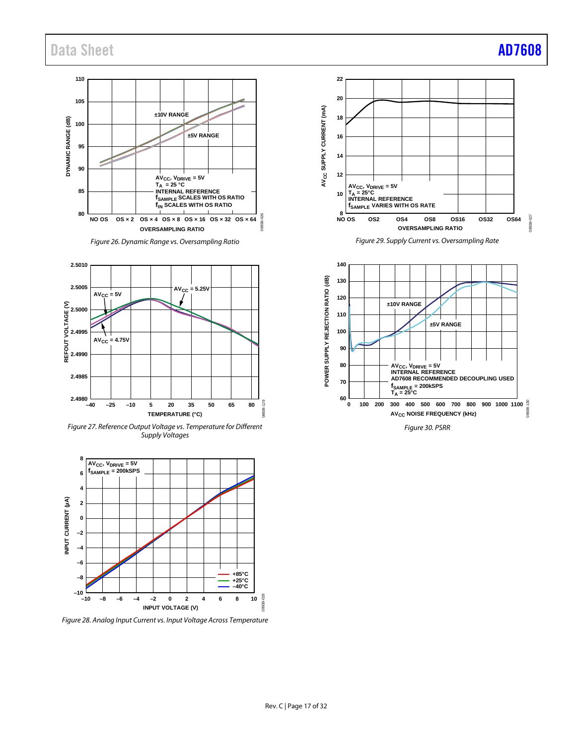**110 105 ±10V RANGE DYNAMIC RANGE (dB)** DYNAMIC RANGE (dB) **100 ±5V RANGE 95 90 AVCC, VDRIVE = 5V TA = 25 °C INTERNAL REFERENCE 85 fSAMPLE SCALES WITH OS RATIO fIN SCALES WITH OS RATIO 80 NO OS OS × 2 OS × 4 OS × 8 OS × 16 OS × 32 OS × 64** 8938-026 08938-026 **OVERSAMPLING RATIO**

*Figure 26. Dynamic Range vs. Oversampling Ratio*







<span id="page-16-0"></span>*Figure 28. Analog Input Current vs. Input Voltage Across Temperature*





*Figure 30. PSRR*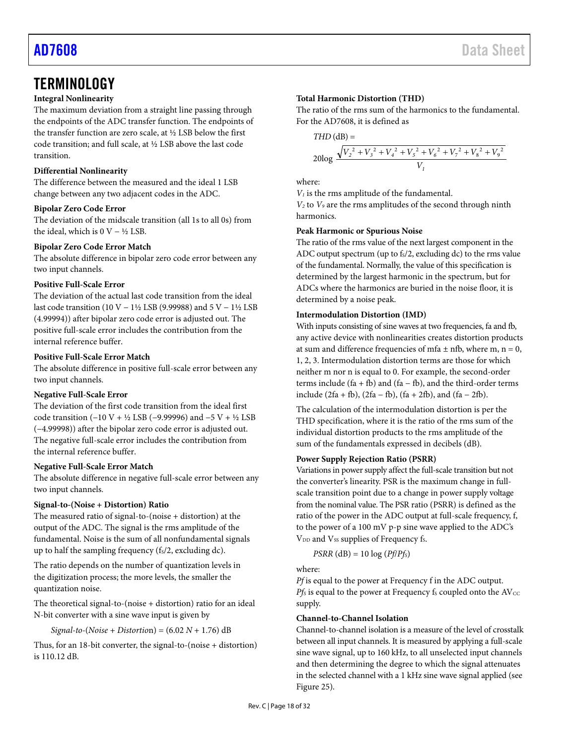## <span id="page-17-0"></span>**TERMINOLOGY**

#### **Integral Nonlinearity**

The maximum deviation from a straight line passing through the endpoints of the ADC transfer function. The endpoints of the transfer function are zero scale, at ½ LSB below the first code transition; and full scale, at ½ LSB above the last code transition.

#### **Differential Nonlinearity**

The difference between the measured and the ideal 1 LSB change between any two adjacent codes in the ADC.

#### **Bipolar Zero Code Error**

The deviation of the midscale transition (all 1s to all 0s) from the ideal, which is  $0$  V – ½ LSB.

#### **Bipolar Zero Code Error Match**

The absolute difference in bipolar zero code error between any two input channels.

#### **Positive Full-Scale Error**

The deviation of the actual last code transition from the ideal last code transition (10 V − 1½ LSB (9.99988) and 5 V − 1½ LSB (4.99994)) after bipolar zero code error is adjusted out. The positive full-scale error includes the contribution from the internal reference buffer.

#### **Positive Full-Scale Error Match**

The absolute difference in positive full-scale error between any two input channels.

#### **Negative Full-Scale Error**

The deviation of the first code transition from the ideal first code transition (−10 V + ½ LSB (−9.99996) and −5 V + ½ LSB (−4.99998)) after the bipolar zero code error is adjusted out. The negative full-scale error includes the contribution from the internal reference buffer.

#### **Negative Full-Scale Error Match**

The absolute difference in negative full-scale error between any two input channels.

#### **Signal-to-(Noise + Distortion) Ratio**

The measured ratio of signal-to-(noise + distortion) at the output of the ADC. The signal is the rms amplitude of the fundamental. Noise is the sum of all nonfundamental signals up to half the sampling frequency  $(f<sub>s</sub>/2, excluding dc)$ .

The ratio depends on the number of quantization levels in the digitization process; the more levels, the smaller the quantization noise.

The theoretical signal-to-(noise + distortion) ratio for an ideal N-bit converter with a sine wave input is given by

*Signal-to-*(*Noise* + *Distortio*n) = (6.02 *N* + 1.76) dB

Thus, for an 18-bit converter, the signal-to-(noise + distortion) is 110.12 dB.

### **Total Harmonic Distortion (THD)**

The ratio of the rms sum of the harmonics to the fundamental. For the AD7608, it is defined as

$$
THD(dB) =
$$

$$
20\log{\frac{\sqrt{V_2^2+V_3^2+V_4^2+V_5^2+V_6^2+V_7^2+V_8^2+V_9^2}}{V_1}}
$$

where:

*V1* is the rms amplitude of the fundamental.

*V2* to *V9* are the rms amplitudes of the second through ninth harmonics.

#### **Peak Harmonic or Spurious Noise**

The ratio of the rms value of the next largest component in the ADC output spectrum (up to  $f_s/2$ , excluding dc) to the rms value of the fundamental. Normally, the value of this specification is determined by the largest harmonic in the spectrum, but for ADCs where the harmonics are buried in the noise floor, it is determined by a noise peak.

#### **Intermodulation Distortion (IMD)**

With inputs consisting of sine waves at two frequencies, fa and fb, any active device with nonlinearities creates distortion products at sum and difference frequencies of mfa  $\pm$  nfb, where m, n = 0, 1, 2, 3. Intermodulation distortion terms are those for which neither m nor n is equal to 0. For example, the second-order terms include  $(fa + fb)$  and  $(fa - fb)$ , and the third-order terms include (2fa + fb), (2fa − fb), (fa + 2fb), and (fa − 2fb).

The calculation of the intermodulation distortion is per the THD specification, where it is the ratio of the rms sum of the individual distortion products to the rms amplitude of the sum of the fundamentals expressed in decibels (dB).

#### **Power Supply Rejection Ratio (PSRR)**

Variations in power supply affect the full-scale transition but not the converter's linearity. PSR is the maximum change in fullscale transition point due to a change in power supply voltage from the nominal value. The PSR ratio (PSRR) is defined as the ratio of the power in the ADC output at full-scale frequency, f, to the power of a 100 mV p-p sine wave applied to the ADC's V<sub>DD</sub> and V<sub>ss</sub> supplies of Frequency fs.

$$
PSRR (dB) = 10 \log (Pf/Pf_s)
$$

where:

*Pf* is equal to the power at Frequency f in the ADC output.  $Pf_S$  is equal to the power at Frequency  $f_S$  coupled onto the AV<sub>CC</sub> supply.

#### **Channel-to-Channel Isolation**

Channel-to-channel isolation is a measure of the level of crosstalk between all input channels. It is measured by applying a full-scale sine wave signal, up to 160 kHz, to all unselected input channels and then determining the degree to which the signal attenuates in the selected channel with a 1 kHz sine wave signal applied (see [Figure 25\)](#page-15-0).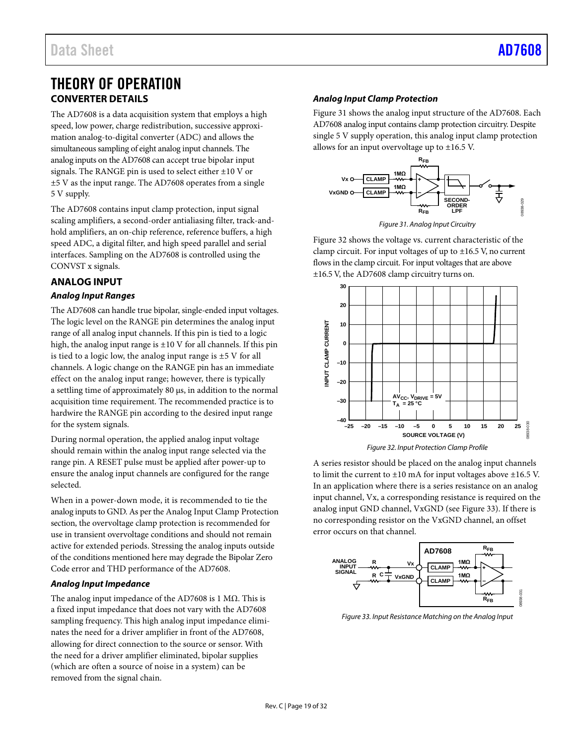## <span id="page-18-0"></span>THEORY OF OPERATION **CONVERTER DETAILS**

<span id="page-18-1"></span>The AD7608 is a data acquisition system that employs a high speed, low power, charge redistribution, successive approximation analog-to-digital converter (ADC) and allows the simultaneous sampling of eight analog input channels. The analog inputs on the AD7608 can accept true bipolar input signals. The RANGE pin is used to select either ±10 V or ±5 V as the input range. The AD7608 operates from a single 5 V supply.

The AD7608 contains input clamp protection, input signal scaling amplifiers, a second-order antialiasing filter, track-andhold amplifiers, an on-chip reference, reference buffers, a high speed ADC, a digital filter, and high speed parallel and serial interfaces. Sampling on the AD7608 is controlled using the CONVST x signals.

## <span id="page-18-2"></span>**ANALOG INPUT**

#### *Analog Input Ranges*

The AD7608 can handle true bipolar, single-ended input voltages. The logic level on the RANGE pin determines the analog input range of all analog input channels. If this pin is tied to a logic high, the analog input range is  $\pm 10$  V for all channels. If this pin is tied to a logic low, the analog input range is  $\pm$ 5 V for all channels. A logic change on the RANGE pin has an immediate effect on the analog input range; however, there is typically a settling time of approximately 80 µs, in addition to the normal acquisition time requirement. The recommended practice is to hardwire the RANGE pin according to the desired input range for the system signals.

During normal operation, the applied analog input voltage should remain within the analog input range selected via the range pin. A RESET pulse must be applied after power-up to ensure the analog input channels are configured for the range selected.

When in a power-down mode, it is recommended to tie the analog inputs to GND. As per th[e Analog Input Clamp Protection](#page-18-3) section, the overvoltage clamp protection is recommended for use in transient overvoltage conditions and should not remain active for extended periods. Stressing the analog inputs outside of the conditions mentioned here may degrade the Bipolar Zero Code error and THD performance of the AD7608.

#### *Analog Input Impedance*

The analog input impedance of the AD7608 is 1 MΩ. This is a fixed input impedance that does not vary with the AD7608 sampling frequency. This high analog input impedance eliminates the need for a driver amplifier in front of the AD7608, allowing for direct connection to the source or sensor. With the need for a driver amplifier eliminated, bipolar supplies (which are often a source of noise in a system) can be removed from the signal chain.

### <span id="page-18-3"></span>*Analog Input Clamp Protection*

[Figure 31](#page-18-4) shows the analog input structure of the AD7608. Each AD7608 analog input contains clamp protection circuitry. Despite single 5 V supply operation, this analog input clamp protection allows for an input overvoltage up to ±16.5 V.



*Figure 31. Analog Input Circuitry*

<span id="page-18-4"></span>[Figure](#page-18-5) 32 shows the voltage vs. current characteristic of the clamp circuit. For input voltages of up to ±16.5 V, no current flows in the clamp circuit. For input voltages that are above ±16.5 V, the AD7608 clamp circuitry turns on.



<span id="page-18-5"></span>A series resistor should be placed on the analog input channels to limit the current to ±10 mA for input voltages above ±16.5 V. In an application where there is a series resistance on an analog input channel, Vx, a corresponding resistance is required on the analog input GND channel, VxGND (see [Figure 33\)](#page-18-6). If there is no corresponding resistor on the VxGND channel, an offset error occurs on that channel.



<span id="page-18-6"></span>*Figure 33. Input Resistance Matching on the Analog Input*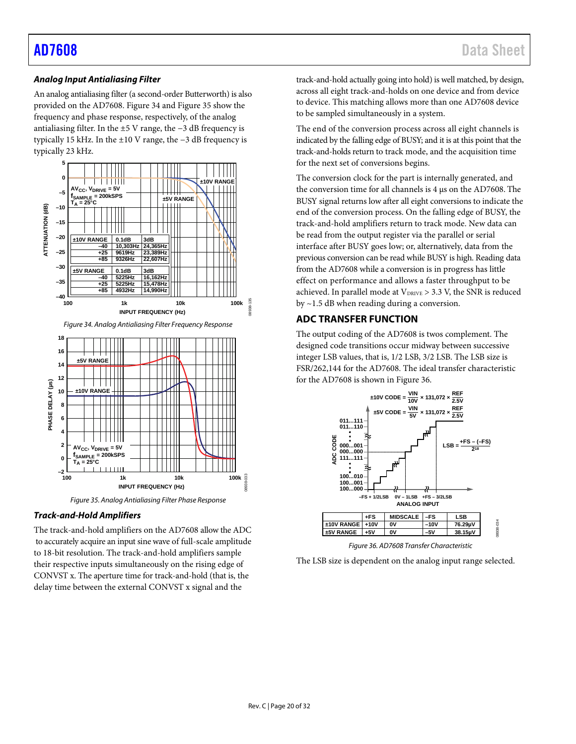#### *Analog Input Antialiasing Filter*

An analog antialiasing filter (a second-order Butterworth) is also provided on the AD7608[. Figure 34](#page-19-1) an[d Figure 35](#page-19-2) show the frequency and phase response, respectively, of the analog antialiasing filter. In the ±5 V range, the −3 dB frequency is typically 15 kHz. In the ±10 V range, the −3 dB frequency is typically 23 kHz.

<span id="page-19-1"></span>

#### <span id="page-19-2"></span>*Track-and-Hold Amplifiers*

The track-and-hold amplifiers on the AD7608 allow the ADC to accurately acquire an input sine wave of full-scale amplitude to 18-bit resolution. The track-and-hold amplifiers sample their respective inputs simultaneously on the rising edge of CONVST x. The aperture time for track-and-hold (that is, the delay time between the external CONVST x signal and the

track-and-hold actually going into hold) is well matched, by design, across all eight track-and-holds on one device and from device to device. This matching allows more than one AD7608 device to be sampled simultaneously in a system.

The end of the conversion process across all eight channels is indicated by the falling edge of BUSY; and it is at this point that the track-and-holds return to track mode, and the acquisition time for the next set of conversions begins.

The conversion clock for the part is internally generated, and the conversion time for all channels is 4 µs on the AD7608. The BUSY signal returns low after all eight conversions to indicate the end of the conversion process. On the falling edge of BUSY, the track-and-hold amplifiers return to track mode. New data can be read from the output register via the parallel or serial interface after BUSY goes low; or, alternatively, data from the previous conversion can be read while BUSY is high. Reading data from the AD7608 while a conversion is in progress has little effect on performance and allows a faster throughput to be achieved. In parallel mode at  $V_{DRIVE} > 3.3$  V, the SNR is reduced by ~1.5 dB when reading during a conversion.

#### <span id="page-19-0"></span>**ADC TRANSFER FUNCTION**

The output coding of the AD7608 is twos complement. The designed code transitions occur midway between successive integer LSB values, that is, 1/2 LSB, 3/2 LSB. The LSB size is FSR/262,144 for the AD7608. The ideal transfer characteristic for the AD7608 is shown i[n Figure 36.](#page-19-3)



*Figure 36. AD7608 Transfer Characteristic*

<span id="page-19-3"></span>The LSB size is dependent on the analog input range selected.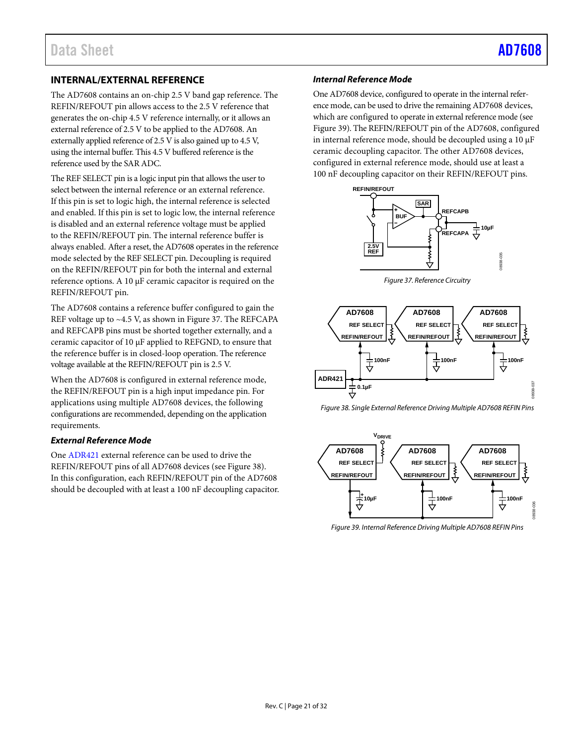08938-035

## <span id="page-20-0"></span>**INTERNAL/EXTERNAL REFERENCE**

The AD7608 contains an on-chip 2.5 V band gap reference. The REFIN/REFOUT pin allows access to the 2.5 V reference that generates the on-chip 4.5 V reference internally, or it allows an external reference of 2.5 V to be applied to the AD7608. An externally applied reference of 2.5 V is also gained up to 4.5 V, using the internal buffer. This 4.5 V buffered reference is the reference used by the SAR ADC.

The REF SELECT pin is a logic input pin that allows the user to select between the internal reference or an external reference. If this pin is set to logic high, the internal reference is selected and enabled. If this pin is set to logic low, the internal reference is disabled and an external reference voltage must be applied to the REFIN/REFOUT pin. The internal reference buffer is always enabled. After a reset, the AD7608 operates in the reference mode selected by the REF SELECT pin. Decoupling is required on the REFIN/REFOUT pin for both the internal and external reference options. A 10 µF ceramic capacitor is required on the REFIN/REFOUT pin.

The AD7608 contains a reference buffer configured to gain the REF voltage up to ~4.5 V, as shown i[n Figure 37.](#page-20-1) The REFCAPA and REFCAPB pins must be shorted together externally, and a ceramic capacitor of 10 μF applied to REFGND, to ensure that the reference buffer is in closed-loop operation. The reference voltage available at the REFIN/REFOUT pin is 2.5 V.

When the AD7608 is configured in external reference mode, the REFIN/REFOUT pin is a high input impedance pin. For applications using multiple AD7608 devices, the following configurations are recommended, depending on the application requirements.

#### *External Reference Mode*

On[e ADR421](https://www.analog.com/ADR421?doc=AD7608.pdf) external reference can be used to drive the REFIN/REFOUT pins of all AD7608 devices (see [Figure 38\)](#page-20-2). In this configuration, each REFIN/REFOUT pin of the AD7608 should be decoupled with at least a 100 nF decoupling capacitor.

#### *Internal Reference Mode*

One AD7608 device, configured to operate in the internal reference mode, can be used to drive the remaining AD7608 devices, which are configured to operate in external reference mode (see [Figure](#page-20-3) 39). The REFIN/REFOUT pin of the AD7608, configured in internal reference mode, should be decoupled using a 10  $\mu$ F ceramic decoupling capacitor. The other AD7608 devices, configured in external reference mode, should use at least a 100 nF decoupling capacitor on their REFIN/REFOUT pins.



*Figure 37. Reference Circuitry*

<span id="page-20-1"></span>

<span id="page-20-2"></span>*Figure 38. Single External Reference Driving Multiple AD7608 REFIN Pins*



<span id="page-20-3"></span>*Figure 39. Internal Reference Driving Multiple AD7608 REFIN Pins*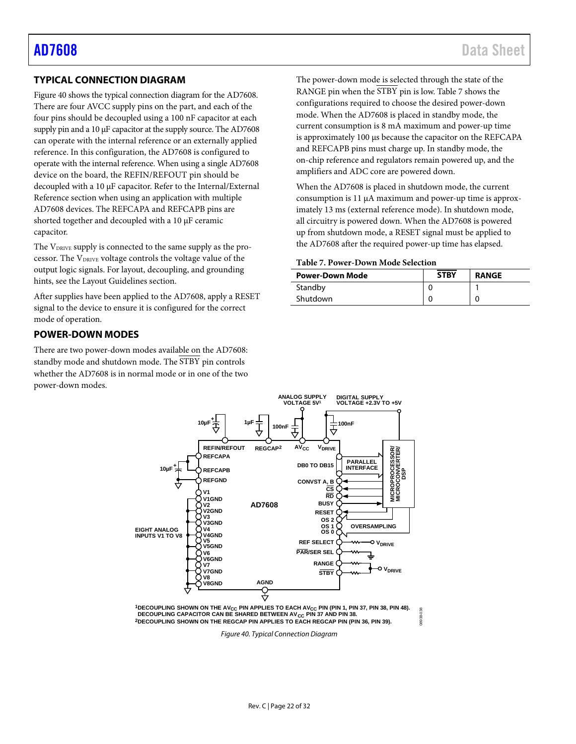### <span id="page-21-0"></span>**TYPICAL CONNECTION DIAGRAM**

[Figure 40](#page-21-3) shows the typical connection diagram for the AD7608. There are four AVCC supply pins on the part, and each of the four pins should be decoupled using a 100 nF capacitor at each supply pin and a 10 µF capacitor at the supply source. The AD7608 can operate with the internal reference or an externally applied reference. In this configuration, the AD7608 is configured to operate with the internal reference. When using a single AD7608 device on the board, the REFIN/REFOUT pin should be decoupled with a 10 µF capacitor. Refer to the [Internal/External](#page-20-0)  [Reference](#page-20-0) section when using an application with multiple AD7608 devices. The REFCAPA and REFCAPB pins are shorted together and decoupled with a 10 µF ceramic capacitor.

The V<sub>DRIVE</sub> supply is connected to the same supply as the processor. The VDRIVE voltage controls the voltage value of the output logic signals. For layout, decoupling, and grounding hints, see th[e Layout Guidelines](#page-29-0) section.

After supplies have been applied to the AD7608, apply a RESET signal to the device to ensure it is configured for the correct mode of operation.

#### <span id="page-21-1"></span>**POWER-DOWN MODES**

There are two power-down modes available on the AD7608: standby mode and shutdown mode. The STBY pin controls whether the AD7608 is in normal mode or in one of the two power-down modes.

and REFCAPB pins must charge up. In standby mode, the on-chip reference and regulators remain powered up, and the amplifiers and ADC core are powered down.

When the AD7608 is placed in shutdown mode, the current consumption is 11 µA maximum and power-up time is approximately 13 ms (external reference mode). In shutdown mode, all circuitry is powered down. When the AD7608 is powered up from shutdown mode, a RESET signal must be applied to the AD7608 after the required power-up time has elapsed.

#### <span id="page-21-2"></span>**Table 7. Power-Down Mode Selection**

| <b>Power-Down Mode</b> | <b>STBY</b> | <b>RANGE</b> |
|------------------------|-------------|--------------|
| Standby                |             |              |
| Shutdown               |             |              |



<span id="page-21-3"></span><sup>1</sup>DECOUPLING SHOWN ON THE AV<sub>CC</sub> PIN APPLIES TO EACH AV<sub>CC</sub> PIN (PIN 1, PIN 37, PIN 38, PIN 48). DECOUPLING CAPACITOR CAN BE SHARED BETWEEN AV<sub>CC</sub> PIN 37 AND PIN 38. **2DECOUPLING SHOWN ON THE REGCAP PIN APPLIES TO EACH REGCAP PIN (PIN 36, PIN 39).**

08938-038

*Figure 40. Typical Connection Diagram*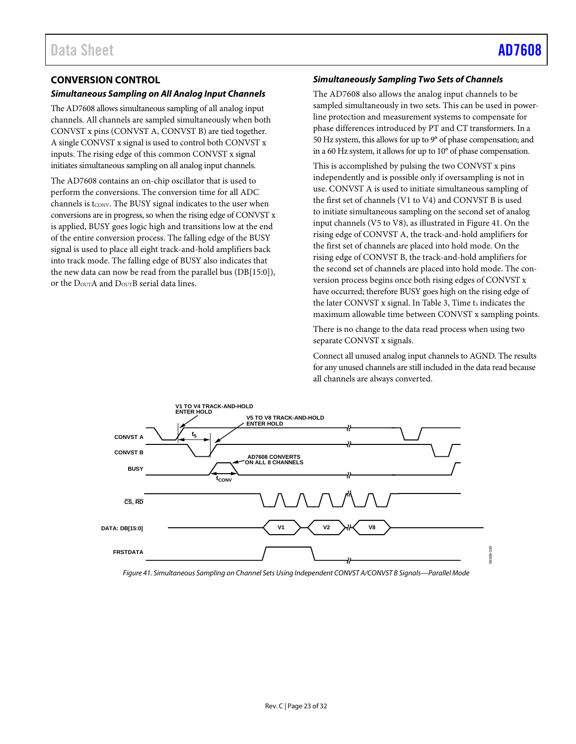## <span id="page-22-0"></span>**CONVERSION CONTROL**

#### *Simultaneous Sampling on All Analog Input Channels*

The AD7608 allows simultaneous sampling of all analog input channels. All channels are sampled simultaneously when both CONVST x pins (CONVST A, CONVST B) are tied together. A single CONVST x signal is used to control both CONVST x inputs. The rising edge of this common CONVST x signal initiates simultaneous sampling on all analog input channels.

The AD7608 contains an on-chip oscillator that is used to perform the conversions. The conversion time for all ADC channels is t<sub>CONV</sub>. The BUSY signal indicates to the user when conversions are in progress, so when the rising edge of CONVST x is applied, BUSY goes logic high and transitions low at the end of the entire conversion process. The falling edge of the BUSY signal is used to place all eight track-and-hold amplifiers back into track mode. The falling edge of BUSY also indicates that the new data can now be read from the parallel bus (DB[15:0]), or the  $D_{\text{OUT}}A$  and  $D_{\text{OUT}}B$  serial data lines.

#### *Simultaneously Sampling Two Sets of Channels*

The AD7608 also allows the analog input channels to be sampled simultaneously in two sets. This can be used in powerline protection and measurement systems to compensate for phase differences introduced by PT and CT transformers. In a 50 Hz system, this allows for up to 9° of phase compensation; and in a 60 Hz system, it allows for up to 10° of phase compensation.

This is accomplished by pulsing the two CONVST x pins independently and is possible only if oversampling is not in use. CONVST A is used to initiate simultaneous sampling of the first set of channels (V1 to V4) and CONVST B is used to initiate simultaneous sampling on the second set of analog input channels (V5 to V8), as illustrated i[n Figure 41.](#page-22-1) On the rising edge of CONVST A, the track-and-hold amplifiers for the first set of channels are placed into hold mode. On the rising edge of CONVST B, the track-and-hold amplifiers for the second set of channels are placed into hold mode. The conversion process begins once both rising edges of CONVST x have occurred; therefore BUSY goes high on the rising edge of the later CONVST x signal. In [Table 3,](#page-5-2) Time t<sub>5</sub> indicates the maximum allowable time between CONVST x sampling points.

There is no change to the data read process when using two separate CONVST x signals.

Connect all unused analog input channels to AGND. The results for any unused channels are still included in the data read because all channels are always converted.



<span id="page-22-1"></span>*Figure 41. Simultaneous Sampling on Channel Sets Using Independent CONVST A/CONVST B Signals—Parallel Mode*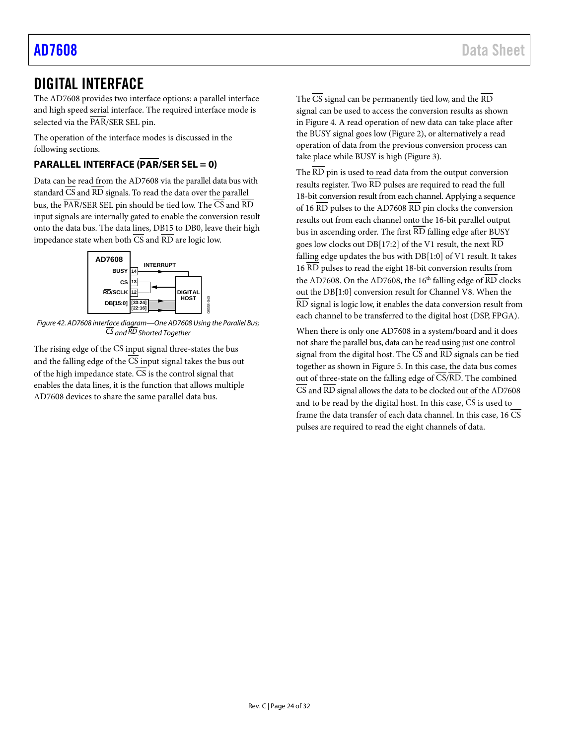## <span id="page-23-0"></span>DIGITAL INTERFACE

The AD7608 provides two interface options: a parallel interface and high speed serial interface. The required interface mode is selected via the PAR/SER SEL pin.

The operation of the interface modes is discussed in the following sections.

## <span id="page-23-1"></span>**PARALLEL INTERFACE (PAR/SER SEL = 0)**

Data can be read from the AD7608 via the parallel data bus with standard  $\overline{\text{CS}}$  and  $\overline{\text{RD}}$  signals. To read the data over the parallel bus, the PAR/SER SEL pin should be tied low. The CS and RD input signals are internally gated to enable the conversion result onto the data bus. The data lines, DB15 to DB0, leave their high impedance state when both  $\overline{CS}$  and  $\overline{RD}$  are logic low.



*Figure 42. AD7608 interface diagram—One AD7608 Using the Parallel Bus; CS and RD Shorted Together*

The rising edge of the  $\overline{CS}$  input signal three-states the bus and the falling edge of the  $\overline{\text{CS}}$  input signal takes the bus out of the high impedance state.  $\overline{CS}$  is the control signal that enables the data lines, it is the function that allows multiple AD7608 devices to share the same parallel data bus.

The  $\overline{\text{CS}}$  signal can be permanently tied low, and the  $\overline{\text{RD}}$ signal can be used to access the conversion results as shown in [Figure](#page-7-1) 4. A read operation of new data can take place after the BUSY signal goes low [\(Figure 2\)](#page-7-2), or alternatively a read operation of data from the previous conversion process can take place while BUSY is high [\(Figure 3\)](#page-7-3).

The  $\overline{\text{RD}}$  pin is used to read data from the output conversion results register. Two RD pulses are required to read the full 18-bit conversion result from each channel. Applying a sequence of 16  $\overline{RD}$  pulses to the AD7608  $\overline{RD}$  pin clocks the conversion results out from each channel onto the 16-bit parallel output bus in ascending order. The first  $\overline{\text{RD}}$  falling edge after BUSY goes low clocks out DB[17:2] of the V1 result, the next RD falling edge updates the bus with DB[1:0] of V1 result. It takes 16 RD pulses to read the eight 18-bit conversion results from the AD7608. On the AD7608, the  $16<sup>th</sup>$  falling edge of  $\overline{\text{RD}}$  clocks out the DB[1:0] conversion result for Channel V8. When the RD signal is logic low, it enables the data conversion result from each channel to be transferred to the digital host (DSP, FPGA).

When there is only one AD7608 in a system/board and it does not share the parallel bus, data can be read using just one control signal from the digital host. The  $\overline{CS}$  and  $\overline{RD}$  signals can be tied together as shown i[n Figure 5.](#page-8-0) In this case, the data bus comes out of three-state on the falling edge of  $\overline{\text{CS}/\text{RD}}$ . The combined CS and RD signal allows the data to be clocked out of the AD7608 and to be read by the digital host. In this case,  $\overline{\text{CS}}$  is used to frame the data transfer of each data channel. In this case,  $16 \overline{\text{CS}}$ pulses are required to read the eight channels of data.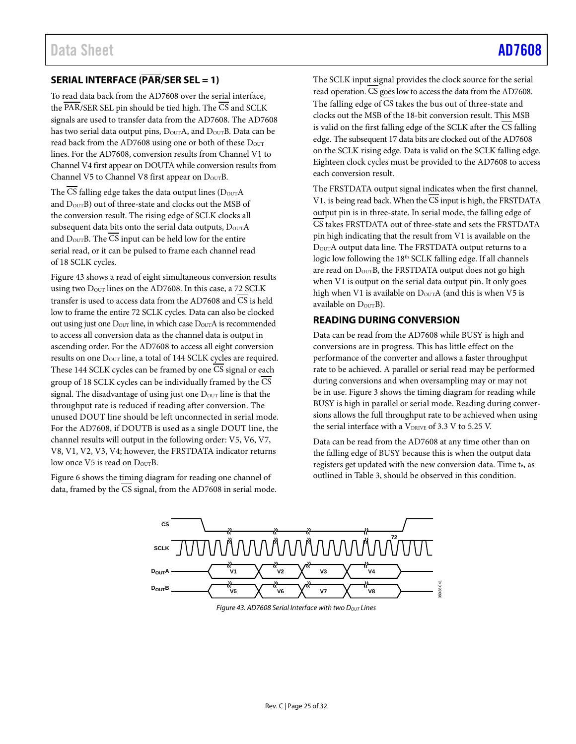## <span id="page-24-0"></span>**SERIAL INTERFACE (PAR/SER SEL = 1)**

To read data back from the AD7608 over the serial interface, the  $\overline{\text{PAR}}/\text{SER}$  SEL pin should be tied high. The  $\overline{\text{CS}}$  and SCLK signals are used to transfer data from the AD7608. The AD7608 has two serial data output pins,  $D_{\text{OUT}}A$ , and  $D_{\text{OUT}}B$ . Data can be read back from the AD7608 using one or both of these  $D<sub>OUT</sub>$ lines. For the AD7608, conversion results from Channel V1 to Channel V4 first appear on DOUTA while conversion results from Channel V5 to Channel V8 first appear on DourB.

The CS falling edge takes the data output lines  $(D_{\text{OUT}}A)$ and  $D_{\text{OUT}}B$ ) out of three-state and clocks out the MSB of the conversion result. The rising edge of SCLK clocks all subsequent data bits onto the serial data outputs,  $D_{\text{OUT}}A$ and  $D_{\text{OUT}}B$ . The  $\overline{CS}$  input can be held low for the entire serial read, or it can be pulsed to frame each channel read of 18 SCLK cycles.

[Figure 43](#page-24-2) shows a read of eight simultaneous conversion results using two  $D_{\text{OUT}}$  lines on the AD7608. In this case, a 72 SCLK transfer is used to access data from the AD7608 and CS is held low to frame the entire 72 SCLK cycles. Data can also be clocked out using just one DOUT line, in which case DOUTA is recommended to access all conversion data as the channel data is output in ascending order. For the AD7608 to access all eight conversion results on one  $D_{\text{OUT}}$  line, a total of 144 SCLK cycles are required. These 144 SCLK cycles can be framed by one CS signal or each group of 18 SCLK cycles can be individually framed by the CS signal. The disadvantage of using just one  $D_{\text{OUT}}$  line is that the throughput rate is reduced if reading after conversion. The unused DOUT line should be left unconnected in serial mode. For the AD7608, if DOUTB is used as a single DOUT line, the channel results will output in the following order: V5, V6, V7, V8, V1, V2, V3, V4; however, the FRSTDATA indicator returns low once  $V5$  is read on  $D_{\text{OUT}}B$ .

<span id="page-24-2"></span>[Figure 6](#page-8-1) shows the timing diagram for reading one channel of data, framed by the CS signal, from the AD7608 in serial mode.

The SCLK input signal provides the clock source for the serial read operation. CS goes low to access the data from the AD7608. The falling edge of  $\overline{CS}$  takes the bus out of three-state and clocks out the MSB of the 18-bit conversion result. This MSB is valid on the first falling edge of the SCLK after the CS falling edge. The subsequent 17 data bits are clocked out of the AD7608 on the SCLK rising edge. Data is valid on the SCLK falling edge. Eighteen clock cycles must be provided to the AD7608 to access each conversion result.

The FRSTDATA output signal indicates when the first channel, V1, is being read back. When the CS input is high, the FRSTDATA output pin is in three-state. In serial mode, the falling edge of CS takes FRSTDATA out of three-state and sets the FRSTDATA pin high indicating that the result from V1 is available on the DOUTA output data line. The FRSTDATA output returns to a logic low following the 18<sup>th</sup> SCLK falling edge. If all channels are read on  $D_{\text{OUT}}B$ , the FRSTDATA output does not go high when V1 is output on the serial data output pin. It only goes high when V1 is available on  $D_{\text{OUT}}A$  (and this is when V5 is available on  $D_{\text{OUT}}B$ ).

#### <span id="page-24-1"></span>**READING DURING CONVERSION**

Data can be read from the AD7608 while BUSY is high and conversions are in progress. This has little effect on the performance of the converter and allows a faster throughput rate to be achieved. A parallel or serial read may be performed during conversions and when oversampling may or may not be in use. [Figure 3](#page-7-3) shows the timing diagram for reading while BUSY is high in parallel or serial mode. Reading during conversions allows the full throughput rate to be achieved when using the serial interface with a  $V_{DRIVE}$  of 3.3 V to 5.25 V.

Data can be read from the AD7608 at any time other than on the falling edge of BUSY because this is when the output data registers get updated with the new conversion data. Time  $t_6$ , as outlined in [Table 3,](#page-5-2) should be observed in this condition.



*Figure 43. AD7608 Serial Interface with two DOUT Lines*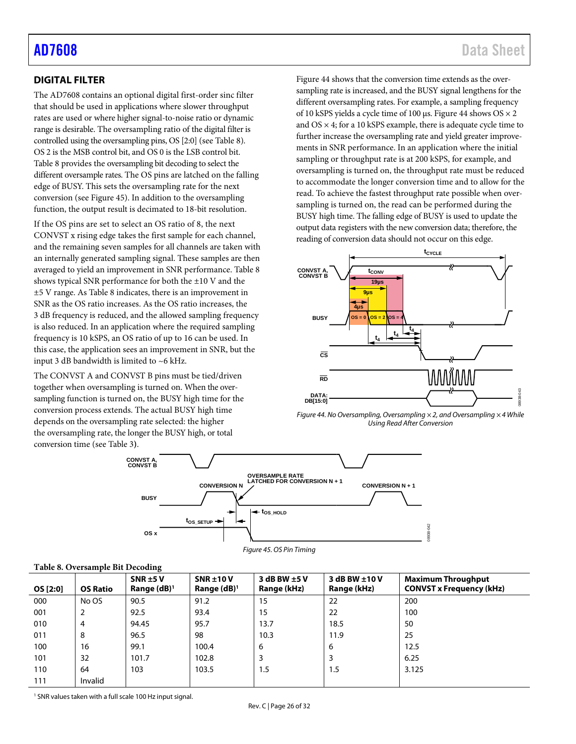## <span id="page-25-1"></span>[AD7608](https://www.analog.com/AD7608?doc=AD7608.pdf) Data Sheet

## <span id="page-25-0"></span>**DIGITAL FILTER**

The AD7608 contains an optional digital first-order sinc filter that should be used in applications where slower throughput rates are used or where higher signal-to-noise ratio or dynamic range is desirable. The oversampling ratio of the digital filter is controlled using the oversampling pins, OS [2:0] (see [Table](#page-25-2) 8). OS 2 is the MSB control bit, and OS 0 is the LSB control bit. [Table](#page-25-2) 8 provides the oversampling bit decoding to select the different oversample rates. The OS pins are latched on the falling edge of BUSY. This sets the oversampling rate for the next conversion (see [Figure 45\)](#page-25-3). In addition to the oversampling function, the output result is decimated to 18-bit resolution.

If the OS pins are set to select an OS ratio of 8, the next CONVST x rising edge takes the first sample for each channel, and the remaining seven samples for all channels are taken with an internally generated sampling signal. These samples are then averaged to yield an improvement in SNR performance[. Table](#page-25-2) 8 shows typical SNR performance for both the ±10 V and the ±5 V range. A[s Table](#page-25-2) 8 indicates, there is an improvement in SNR as the OS ratio increases. As the OS ratio increases, the 3 dB frequency is reduced, and the allowed sampling frequency is also reduced. In an application where the required sampling frequency is 10 kSPS, an OS ratio of up to 16 can be used. In this case, the application sees an improvement in SNR, but the input 3 dB bandwidth is limited to ~6 kHz.

The CONVST A and CONVST B pins must be tied/driven together when oversampling is turned on. When the oversampling function is turned on, the BUSY high time for the conversion process extends. The actual BUSY high time depends on the oversampling rate selected: the higher the oversampling rate, the longer the BUSY high, or total conversion time (se[e Table 3](#page-5-2)**)**.

[Figure 44](#page-25-4) shows that the conversion time extends as the oversampling rate is increased, and the BUSY signal lengthens for the different oversampling rates. For example, a sampling frequency of 10 kSPS yields a cycle time of 100 µs. [Figure 44](#page-25-4) shows OS × 2 and  $OS \times 4$ ; for a 10 kSPS example, there is adequate cycle time to further increase the oversampling rate and yield greater improvements in SNR performance. In an application where the initial sampling or throughput rate is at 200 kSPS, for example, and oversampling is turned on, the throughput rate must be reduced to accommodate the longer conversion time and to allow for the read. To achieve the fastest throughput rate possible when oversampling is turned on, the read can be performed during the BUSY high time. The falling edge of BUSY is used to update the output data registers with the new conversion data; therefore, the reading of conversion data should not occur on this edge.



<span id="page-25-4"></span>*Figure 44. No Oversampling, Oversampling × 2, and Oversampling × 4 While Using Read After Conversion*

08938-042





#### <span id="page-25-3"></span><span id="page-25-2"></span>**Table 8. Oversample Bit Decoding**

| OS [2:0] | <b>OS Ratio</b> | $\cdot$<br>$SNR \pm 5V$<br>Range $(dB)^1$ | $SNR \pm 10V$<br>Range $(dB)^1$ | 3 dB BW $\pm$ 5 V<br>Range (kHz) | 3 dB BW ±10 V<br>Range (kHz) | <b>Maximum Throughput</b><br><b>CONVST x Frequency (kHz)</b> |
|----------|-----------------|-------------------------------------------|---------------------------------|----------------------------------|------------------------------|--------------------------------------------------------------|
| 000      | No OS           | 90.5                                      | 91.2                            | 15                               | 22                           | 200                                                          |
| 001      | 2               | 92.5                                      | 93.4                            | 15                               | 22                           | 100                                                          |
| 010      | 4               | 94.45                                     | 95.7                            | 13.7                             | 18.5                         | 50                                                           |
| 011      | 8               | 96.5                                      | 98                              | 10.3                             | 11.9                         | 25                                                           |
| 100      | 16              | 99.1                                      | 100.4                           | 6                                | 6                            | 12.5                                                         |
| 101      | 32              | 101.7                                     | 102.8                           | 3                                | 3                            | 6.25                                                         |
| 110      | 64              | 103                                       | 103.5                           | 1.5                              | 1.5                          | 3.125                                                        |
| 111      | Invalid         |                                           |                                 |                                  |                              |                                                              |

<sup>1</sup> SNR values taken with a full scale 100 Hz input signal.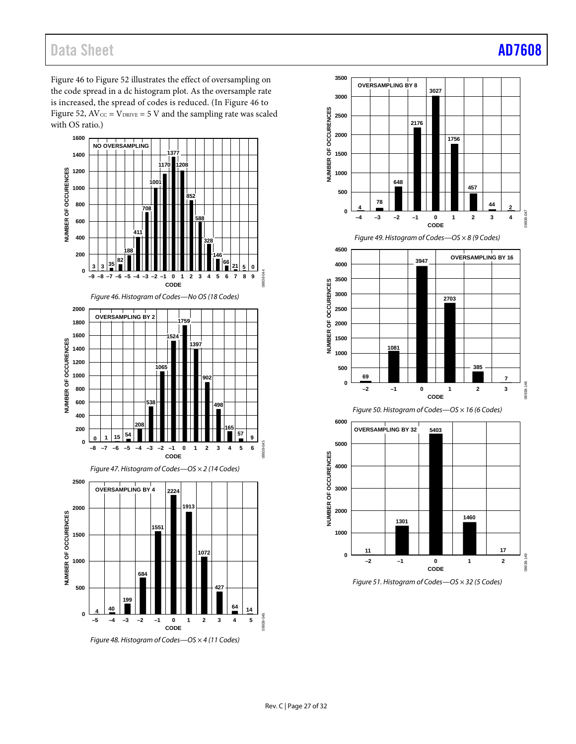[Figure 46](#page-26-0) t[o Figure 52](#page-27-0) illustrates the effect of oversampling on the code spread in a dc histogram plot. As the oversample rate is increased, the spread of codes is reduced. (In [Figure 46](#page-26-0) to [Figure 52,](#page-27-0)  $AV_{CC} = V_{DRIVE} = 5 V$  and the sampling rate was scaled with OS ratio.)

<span id="page-26-0"></span>

*Figure 48. Histogram of Codes—OS × 4 (11 Codes)*



*Figure 49. Histogram of Codes—OS × 8 (9 Codes)*







*Figure 51. Histogram of Codes—OS × 32 (5 Codes)*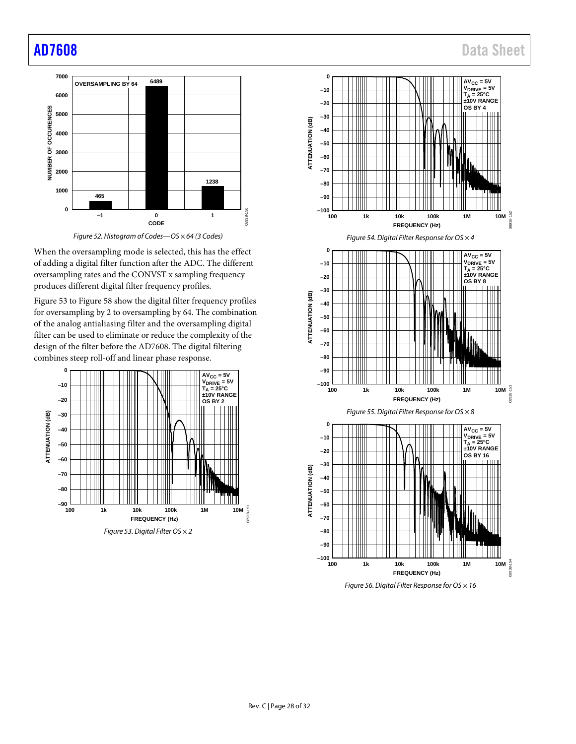<span id="page-27-0"></span>



When the oversampling mode is selected, this has the effect of adding a digital filter function after the ADC. The different oversampling rates and the CONVST x sampling frequency produces different digital filter frequency profiles.

[Figure 53](#page-27-1) to [Figure 58](#page-28-0) show the digital filter frequency profiles for oversampling by 2 to oversampling by 64. The combination of the analog antialiasing filter and the oversampling digital filter can be used to eliminate or reduce the complexity of the design of the filter before the AD7608. The digital filtering combines steep roll-off and linear phase response.

<span id="page-27-1"></span>





**100 1k 10k 100k 1M 10M**

08938-154

**FREQUENCY (Hz)**

*Figure 56. Digital Filter Response for OS × 16*

**–80**

**–100 –90**

Rev. C | Page 28 of 32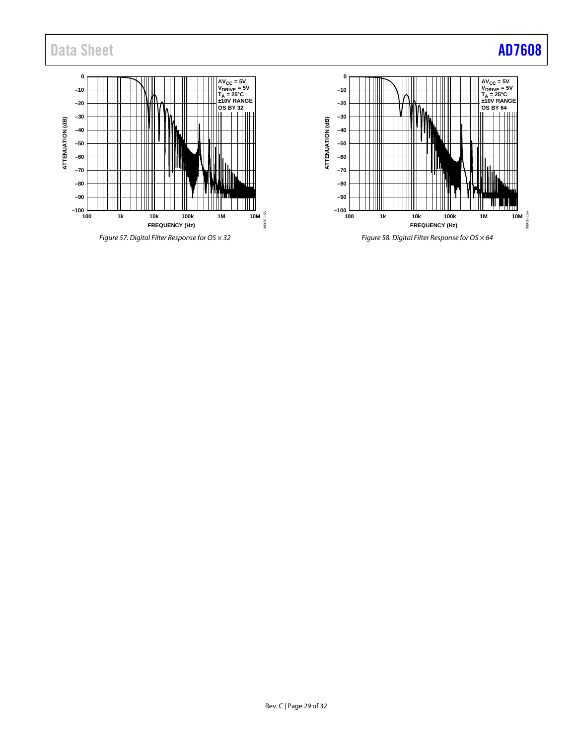

*Figure 57. Digital Filter Response for OS × 32*



<span id="page-28-0"></span>*Figure 58. Digital Filter Response for OS × 64*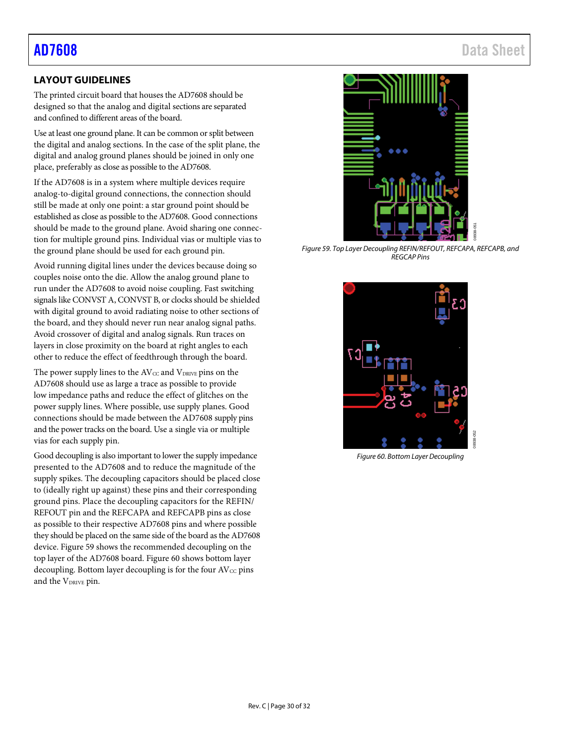## [AD7608](https://www.analog.com/AD7608?doc=AD7608.pdf) Data Sheet

## <span id="page-29-0"></span>**LAYOUT GUIDELINES**

The printed circuit board that houses the AD7608 should be designed so that the analog and digital sections are separated and confined to different areas of the board.

Use at least one ground plane. It can be common or split between the digital and analog sections. In the case of the split plane, the digital and analog ground planes should be joined in only one place, preferably as close as possible to the AD7608.

If the AD7608 is in a system where multiple devices require analog-to-digital ground connections, the connection should still be made at only one point: a star ground point should be established as close as possible to the AD7608. Good connections should be made to the ground plane. Avoid sharing one connection for multiple ground pins. Individual vias or multiple vias to the ground plane should be used for each ground pin.

Avoid running digital lines under the devices because doing so couples noise onto the die. Allow the analog ground plane to run under the AD7608 to avoid noise coupling. Fast switching signals like CONVST A, CONVST B, or clocks should be shielded with digital ground to avoid radiating noise to other sections of the board, and they should never run near analog signal paths. Avoid crossover of digital and analog signals. Run traces on layers in close proximity on the board at right angles to each other to reduce the effect of feedthrough through the board.

The power supply lines to the  $AV_{CC}$  and  $V_{DRIVE}$  pins on the AD7608 should use as large a trace as possible to provide low impedance paths and reduce the effect of glitches on the power supply lines. Where possible, use supply planes. Good connections should be made between the AD7608 supply pins and the power tracks on the board. Use a single via or multiple vias for each supply pin.

Good decoupling is also important to lower the supply impedance presented to the AD7608 and to reduce the magnitude of the supply spikes. The decoupling capacitors should be placed close to (ideally right up against) these pins and their corresponding ground pins. Place the decoupling capacitors for the REFIN/ REFOUT pin and the REFCAPA and REFCAPB pins as close as possible to their respective AD7608 pins and where possible they should be placed on the same side of the board as the AD7608 device[. Figure 59](#page-29-1) shows the recommended decoupling on the top layer of the AD7608 board. [Figure 60](#page-29-2) shows bottom layer decoupling. Bottom layer decoupling is for the four  $AV_{CC}$  pins and the V<sub>DRIVE</sub> pin.



*Figure 59. Top Layer Decoupling REFIN/REFOUT, REFCAPA, REFCAPB, and REGCAP Pins*

<span id="page-29-2"></span><span id="page-29-1"></span>

*Figure 60. Bottom Layer Decoupling*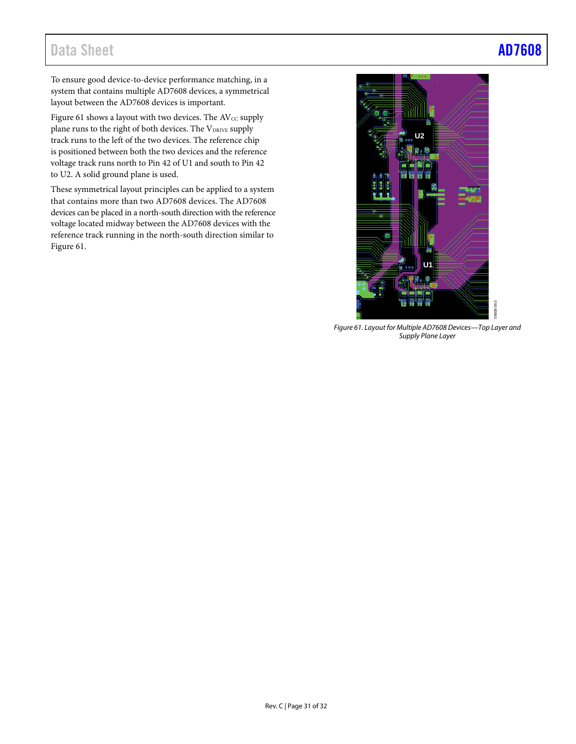To ensure good device-to-device performance matching, in a system that contains multiple AD7608 devices, a symmetrical layout between the AD7608 devices is important.

[Figure 61](#page-30-0) shows a layout with two devices. The AV $\mathrm{cc}$  supply plane runs to the right of both devices. The VDRIVE supply track runs to the left of the two devices. The reference chip is positioned between both the two devices and the reference voltage track runs north to Pin 42 of U1 and south to Pin 42 to U2. A solid ground plane is used.

These symmetrical layout principles can be applied to a system that contains more than two AD7608 devices. The AD7608 devices can be placed in a north-south direction with the reference voltage located midway between the AD7608 devices with the reference track running in the north-south direction similar to [Figure 61.](#page-30-0) 

# **U2 U1**

<span id="page-30-0"></span>*Figure 61. Layout for Multiple AD7608 Devices—Top Layer and Supply Plane Layer*

08938-053